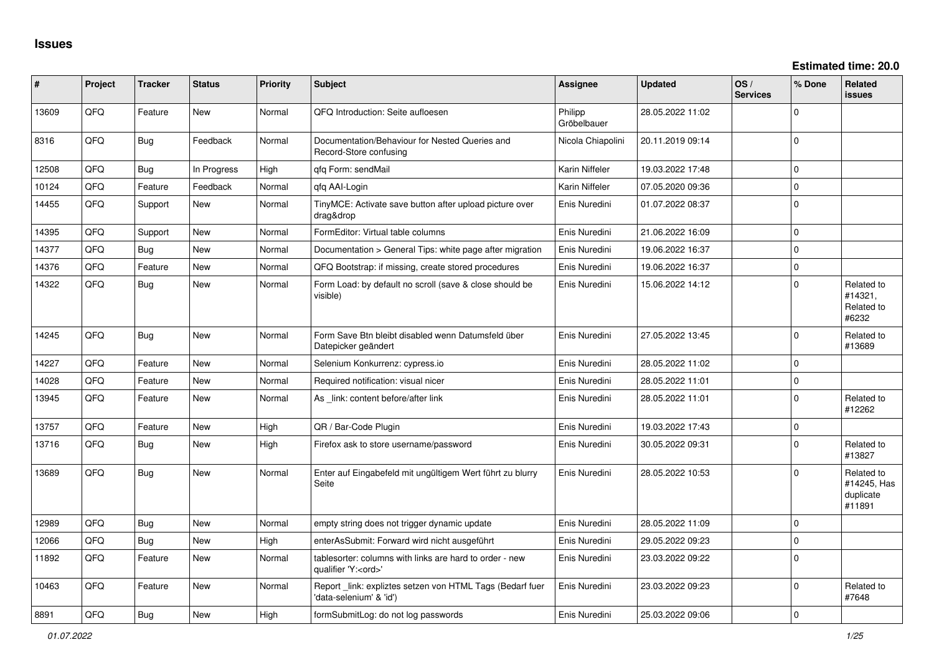| #     | Project | <b>Tracker</b> | <b>Status</b> | <b>Priority</b> | <b>Subject</b>                                                                        | <b>Assignee</b>        | <b>Updated</b>   | OS/<br><b>Services</b> | % Done      | <b>Related</b><br><b>issues</b>                  |
|-------|---------|----------------|---------------|-----------------|---------------------------------------------------------------------------------------|------------------------|------------------|------------------------|-------------|--------------------------------------------------|
| 13609 | QFQ     | Feature        | <b>New</b>    | Normal          | QFQ Introduction: Seite aufloesen                                                     | Philipp<br>Gröbelbauer | 28.05.2022 11:02 |                        | $\Omega$    |                                                  |
| 8316  | QFQ     | <b>Bug</b>     | Feedback      | Normal          | Documentation/Behaviour for Nested Queries and<br>Record-Store confusing              | Nicola Chiapolini      | 20.11.2019 09:14 |                        | $\Omega$    |                                                  |
| 12508 | QFQ     | Bug            | In Progress   | High            | qfq Form: sendMail                                                                    | Karin Niffeler         | 19.03.2022 17:48 |                        | $\Omega$    |                                                  |
| 10124 | QFQ     | Feature        | Feedback      | Normal          | afa AAI-Login                                                                         | Karin Niffeler         | 07.05.2020 09:36 |                        | $\mathbf 0$ |                                                  |
| 14455 | QFQ     | Support        | <b>New</b>    | Normal          | TinyMCE: Activate save button after upload picture over<br>drag&drop                  | Enis Nuredini          | 01.07.2022 08:37 |                        | $\mathbf 0$ |                                                  |
| 14395 | QFQ     | Support        | <b>New</b>    | Normal          | FormEditor: Virtual table columns                                                     | Enis Nuredini          | 21.06.2022 16:09 |                        | $\mathbf 0$ |                                                  |
| 14377 | QFQ     | Bug            | New           | Normal          | Documentation > General Tips: white page after migration                              | Enis Nuredini          | 19.06.2022 16:37 |                        | $\mathbf 0$ |                                                  |
| 14376 | QFQ     | Feature        | New           | Normal          | QFQ Bootstrap: if missing, create stored procedures                                   | Enis Nuredini          | 19.06.2022 16:37 |                        | $\mathbf 0$ |                                                  |
| 14322 | QFQ     | <b>Bug</b>     | <b>New</b>    | Normal          | Form Load: by default no scroll (save & close should be<br>visible)                   | Enis Nuredini          | 15.06.2022 14:12 |                        | $\mathbf 0$ | Related to<br>#14321,<br>Related to<br>#6232     |
| 14245 | QFQ     | <b>Bug</b>     | <b>New</b>    | Normal          | Form Save Btn bleibt disabled wenn Datumsfeld über<br>Datepicker geändert             | Enis Nuredini          | 27.05.2022 13:45 |                        | $\mathbf 0$ | Related to<br>#13689                             |
| 14227 | QFQ     | Feature        | New           | Normal          | Selenium Konkurrenz: cypress.io                                                       | Enis Nuredini          | 28.05.2022 11:02 |                        | $\mathbf 0$ |                                                  |
| 14028 | QFQ     | Feature        | New           | Normal          | Required notification: visual nicer                                                   | Enis Nuredini          | 28.05.2022 11:01 |                        | $\mathbf 0$ |                                                  |
| 13945 | QFQ     | Feature        | New           | Normal          | As link: content before/after link                                                    | Enis Nuredini          | 28.05.2022 11:01 |                        | $\mathbf 0$ | Related to<br>#12262                             |
| 13757 | QFQ     | Feature        | <b>New</b>    | High            | QR / Bar-Code Plugin                                                                  | Enis Nuredini          | 19.03.2022 17:43 |                        | $\mathbf 0$ |                                                  |
| 13716 | QFQ     | Bug            | New           | High            | Firefox ask to store username/password                                                | Enis Nuredini          | 30.05.2022 09:31 |                        | $\mathbf 0$ | Related to<br>#13827                             |
| 13689 | QFQ     | <b>Bug</b>     | New           | Normal          | Enter auf Eingabefeld mit ungültigem Wert führt zu blurry<br>Seite                    | Enis Nuredini          | 28.05.2022 10:53 |                        | $\Omega$    | Related to<br>#14245, Has<br>duplicate<br>#11891 |
| 12989 | QFQ     | <b>Bug</b>     | <b>New</b>    | Normal          | empty string does not trigger dynamic update                                          | Enis Nuredini          | 28.05.2022 11:09 |                        | $\mathbf 0$ |                                                  |
| 12066 | QFQ     | Bug            | New           | High            | enterAsSubmit: Forward wird nicht ausgeführt                                          | Enis Nuredini          | 29.05.2022 09:23 |                        | $\mathbf 0$ |                                                  |
| 11892 | QFQ     | Feature        | <b>New</b>    | Normal          | tablesorter: columns with links are hard to order - new<br>qualifier 'Y: <ord>'</ord> | Enis Nuredini          | 23.03.2022 09:22 |                        | $\mathbf 0$ |                                                  |
| 10463 | QFQ     | Feature        | New           | Normal          | Report _link: expliztes setzen von HTML Tags (Bedarf fuer<br>'data-selenium' & 'id')  | Enis Nuredini          | 23.03.2022 09:23 |                        | $\mathbf 0$ | Related to<br>#7648                              |
| 8891  | QFQ     | Bug            | <b>New</b>    | High            | formSubmitLog: do not log passwords                                                   | Enis Nuredini          | 25.03.2022 09:06 |                        | $\Omega$    |                                                  |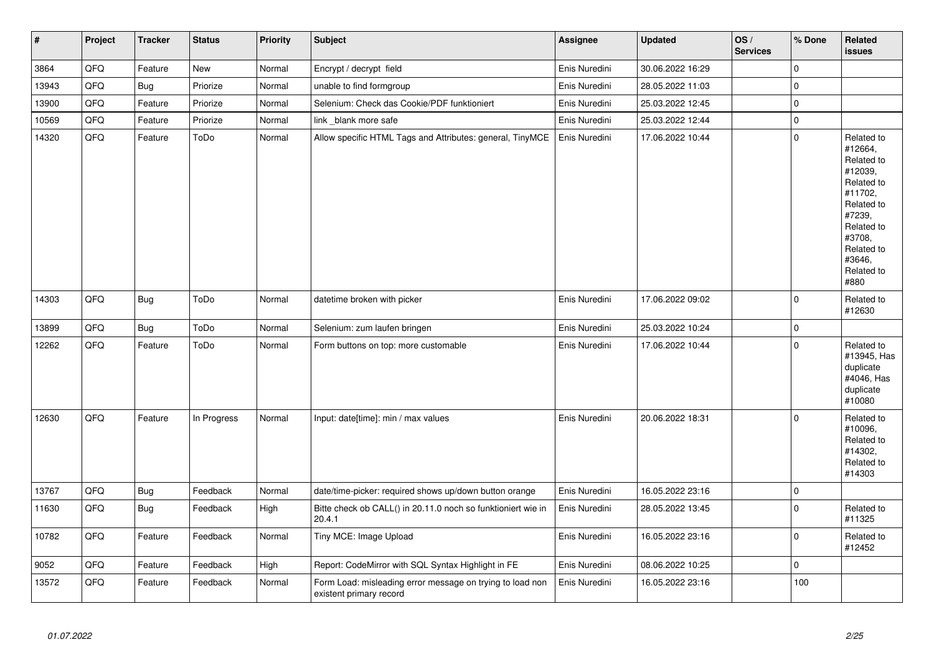| $\vert$ # | Project | <b>Tracker</b> | <b>Status</b> | <b>Priority</b> | <b>Subject</b>                                                                       | <b>Assignee</b> | <b>Updated</b>   | OS/<br><b>Services</b> | % Done       | Related<br><b>issues</b>                                                                                                                                              |
|-----------|---------|----------------|---------------|-----------------|--------------------------------------------------------------------------------------|-----------------|------------------|------------------------|--------------|-----------------------------------------------------------------------------------------------------------------------------------------------------------------------|
| 3864      | QFQ     | Feature        | New           | Normal          | Encrypt / decrypt field                                                              | Enis Nuredini   | 30.06.2022 16:29 |                        | $\mathbf{0}$ |                                                                                                                                                                       |
| 13943     | QFQ     | <b>Bug</b>     | Priorize      | Normal          | unable to find formgroup                                                             | Enis Nuredini   | 28.05.2022 11:03 |                        | $\mathbf{0}$ |                                                                                                                                                                       |
| 13900     | QFQ     | Feature        | Priorize      | Normal          | Selenium: Check das Cookie/PDF funktioniert                                          | Enis Nuredini   | 25.03.2022 12:45 |                        | $\pmb{0}$    |                                                                                                                                                                       |
| 10569     | QFQ     | Feature        | Priorize      | Normal          | link blank more safe                                                                 | Enis Nuredini   | 25.03.2022 12:44 |                        | $\mathbf 0$  |                                                                                                                                                                       |
| 14320     | QFQ     | Feature        | ToDo          | Normal          | Allow specific HTML Tags and Attributes: general, TinyMCE                            | Enis Nuredini   | 17.06.2022 10:44 |                        | $\Omega$     | Related to<br>#12664,<br>Related to<br>#12039,<br>Related to<br>#11702,<br>Related to<br>#7239,<br>Related to<br>#3708,<br>Related to<br>#3646,<br>Related to<br>#880 |
| 14303     | QFQ     | Bug            | ToDo          | Normal          | datetime broken with picker                                                          | Enis Nuredini   | 17.06.2022 09:02 |                        | $\Omega$     | Related to<br>#12630                                                                                                                                                  |
| 13899     | QFQ     | Bug            | ToDo          | Normal          | Selenium: zum laufen bringen                                                         | Enis Nuredini   | 25.03.2022 10:24 |                        | $\mathbf{0}$ |                                                                                                                                                                       |
| 12262     | QFQ     | Feature        | ToDo          | Normal          | Form buttons on top: more customable                                                 | Enis Nuredini   | 17.06.2022 10:44 |                        | $\mathbf 0$  | Related to<br>#13945, Has<br>duplicate<br>#4046, Has<br>duplicate<br>#10080                                                                                           |
| 12630     | QFQ     | Feature        | In Progress   | Normal          | Input: date[time]: min / max values                                                  | Enis Nuredini   | 20.06.2022 18:31 |                        | $\Omega$     | Related to<br>#10096,<br>Related to<br>#14302,<br>Related to<br>#14303                                                                                                |
| 13767     | QFQ     | <b>Bug</b>     | Feedback      | Normal          | date/time-picker: required shows up/down button orange                               | Enis Nuredini   | 16.05.2022 23:16 |                        | $\mathbf{0}$ |                                                                                                                                                                       |
| 11630     | QFQ     | Bug            | Feedback      | High            | Bitte check ob CALL() in 20.11.0 noch so funktioniert wie in<br>20.4.1               | Enis Nuredini   | 28.05.2022 13:45 |                        | $\pmb{0}$    | Related to<br>#11325                                                                                                                                                  |
| 10782     | QFQ     | Feature        | Feedback      | Normal          | Tiny MCE: Image Upload                                                               | Enis Nuredini   | 16.05.2022 23:16 |                        | $\mathbf 0$  | Related to<br>#12452                                                                                                                                                  |
| 9052      | QFQ     | Feature        | Feedback      | High            | Report: CodeMirror with SQL Syntax Highlight in FE                                   | Enis Nuredini   | 08.06.2022 10:25 |                        | $\mathbf{0}$ |                                                                                                                                                                       |
| 13572     | QFQ     | Feature        | Feedback      | Normal          | Form Load: misleading error message on trying to load non<br>existent primary record | Enis Nuredini   | 16.05.2022 23:16 |                        | 100          |                                                                                                                                                                       |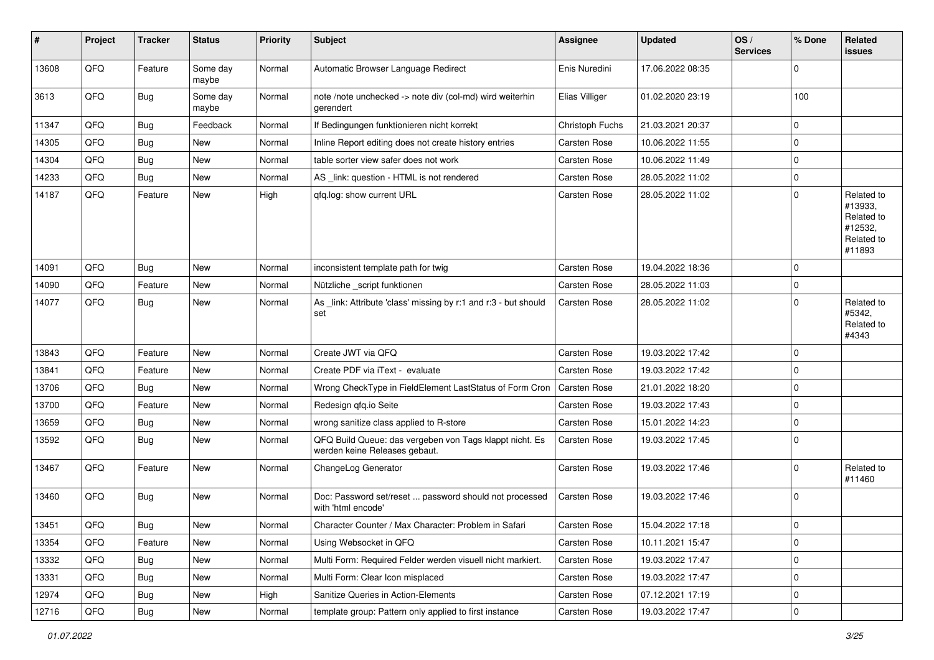| #     | Project | <b>Tracker</b> | <b>Status</b>     | <b>Priority</b> | <b>Subject</b>                                                                           | <b>Assignee</b>     | <b>Updated</b>   | OS/<br><b>Services</b> | % Done      | Related<br><b>issues</b>                                               |
|-------|---------|----------------|-------------------|-----------------|------------------------------------------------------------------------------------------|---------------------|------------------|------------------------|-------------|------------------------------------------------------------------------|
| 13608 | QFQ     | Feature        | Some day<br>maybe | Normal          | Automatic Browser Language Redirect                                                      | Enis Nuredini       | 17.06.2022 08:35 |                        | 0           |                                                                        |
| 3613  | QFQ     | <b>Bug</b>     | Some day<br>maybe | Normal          | note /note unchecked -> note div (col-md) wird weiterhin<br>gerendert                    | Elias Villiger      | 01.02.2020 23:19 |                        | 100         |                                                                        |
| 11347 | QFQ     | <b>Bug</b>     | Feedback          | Normal          | If Bedingungen funktionieren nicht korrekt                                               | Christoph Fuchs     | 21.03.2021 20:37 |                        | 0           |                                                                        |
| 14305 | QFQ     | <b>Bug</b>     | New               | Normal          | Inline Report editing does not create history entries                                    | Carsten Rose        | 10.06.2022 11:55 |                        | $\Omega$    |                                                                        |
| 14304 | QFQ     | Bug            | New               | Normal          | table sorter view safer does not work                                                    | Carsten Rose        | 10.06.2022 11:49 |                        | 0           |                                                                        |
| 14233 | QFQ     | Bug            | New               | Normal          | AS _link: question - HTML is not rendered                                                | <b>Carsten Rose</b> | 28.05.2022 11:02 |                        | $\Omega$    |                                                                        |
| 14187 | QFQ     | Feature        | New               | High            | qfq.log: show current URL                                                                | Carsten Rose        | 28.05.2022 11:02 |                        | $\Omega$    | Related to<br>#13933,<br>Related to<br>#12532,<br>Related to<br>#11893 |
| 14091 | QFQ     | Bug            | New               | Normal          | inconsistent template path for twig                                                      | <b>Carsten Rose</b> | 19.04.2022 18:36 |                        | $\mathbf 0$ |                                                                        |
| 14090 | QFQ     | Feature        | New               | Normal          | Nützliche script funktionen                                                              | Carsten Rose        | 28.05.2022 11:03 |                        | $\Omega$    |                                                                        |
| 14077 | QFQ     | <b>Bug</b>     | New               | Normal          | As _link: Attribute 'class' missing by r:1 and r:3 - but should<br>set                   | Carsten Rose        | 28.05.2022 11:02 |                        | $\mathbf 0$ | Related to<br>#5342.<br>Related to<br>#4343                            |
| 13843 | QFQ     | Feature        | New               | Normal          | Create JWT via QFQ                                                                       | Carsten Rose        | 19.03.2022 17:42 |                        | $\Omega$    |                                                                        |
| 13841 | QFQ     | Feature        | New               | Normal          | Create PDF via iText - evaluate                                                          | Carsten Rose        | 19.03.2022 17:42 |                        | $\Omega$    |                                                                        |
| 13706 | QFQ     | <b>Bug</b>     | New               | Normal          | Wrong CheckType in FieldElement LastStatus of Form Cron                                  | <b>Carsten Rose</b> | 21.01.2022 18:20 |                        | $\Omega$    |                                                                        |
| 13700 | QFQ     | Feature        | New               | Normal          | Redesign qfq.io Seite                                                                    | Carsten Rose        | 19.03.2022 17:43 |                        | $\Omega$    |                                                                        |
| 13659 | QFQ     | <b>Bug</b>     | New               | Normal          | wrong sanitize class applied to R-store                                                  | Carsten Rose        | 15.01.2022 14:23 |                        | $\Omega$    |                                                                        |
| 13592 | QFQ     | <b>Bug</b>     | New               | Normal          | QFQ Build Queue: das vergeben von Tags klappt nicht. Es<br>werden keine Releases gebaut. | Carsten Rose        | 19.03.2022 17:45 |                        | 0           |                                                                        |
| 13467 | QFQ     | Feature        | New               | Normal          | ChangeLog Generator                                                                      | Carsten Rose        | 19.03.2022 17:46 |                        | 0           | Related to<br>#11460                                                   |
| 13460 | QFQ     | <b>Bug</b>     | New               | Normal          | Doc: Password set/reset  password should not processed<br>with 'html encode'             | <b>Carsten Rose</b> | 19.03.2022 17:46 |                        | $\Omega$    |                                                                        |
| 13451 | QFQ     | <b>Bug</b>     | New               | Normal          | Character Counter / Max Character: Problem in Safari                                     | Carsten Rose        | 15.04.2022 17:18 |                        | 0           |                                                                        |
| 13354 | QFQ     | Feature        | New               | Normal          | Using Websocket in QFQ                                                                   | Carsten Rose        | 10.11.2021 15:47 |                        | $\mathbf 0$ |                                                                        |
| 13332 | QFQ     | <b>Bug</b>     | New               | Normal          | Multi Form: Required Felder werden visuell nicht markiert.                               | Carsten Rose        | 19.03.2022 17:47 |                        | $\mathbf 0$ |                                                                        |
| 13331 | QFQ     | Bug            | New               | Normal          | Multi Form: Clear Icon misplaced                                                         | Carsten Rose        | 19.03.2022 17:47 |                        | 0           |                                                                        |
| 12974 | QFQ     | <b>Bug</b>     | New               | High            | Sanitize Queries in Action-Elements                                                      | Carsten Rose        | 07.12.2021 17:19 |                        | 0           |                                                                        |
| 12716 | QFQ     | <b>Bug</b>     | New               | Normal          | template group: Pattern only applied to first instance                                   | Carsten Rose        | 19.03.2022 17:47 |                        | 0           |                                                                        |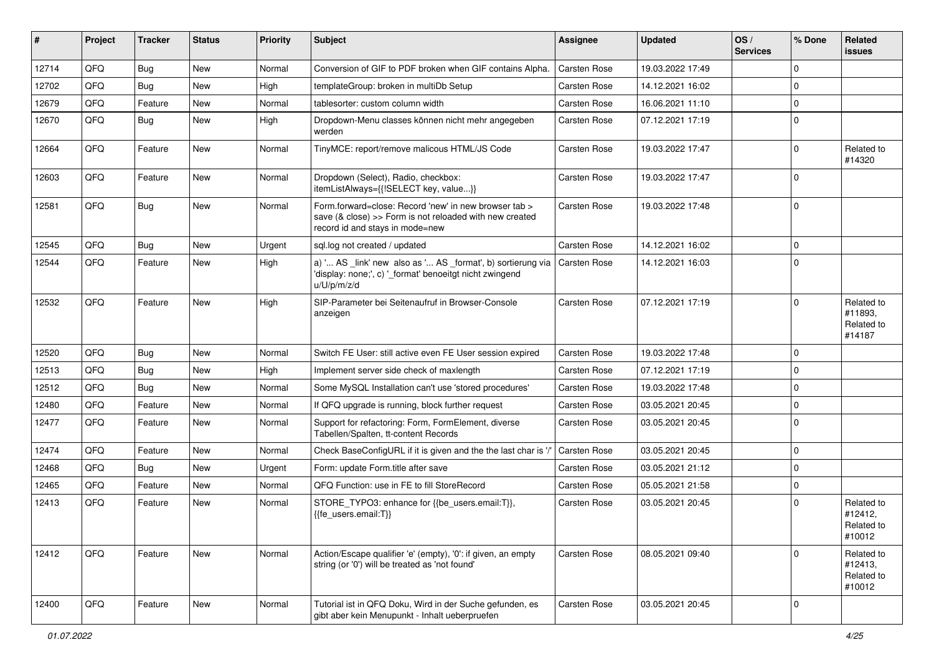| #     | Project | <b>Tracker</b> | <b>Status</b> | <b>Priority</b> | <b>Subject</b>                                                                                                                                       | <b>Assignee</b>     | <b>Updated</b>   | OS/<br><b>Services</b> | % Done      | Related<br><b>issues</b>                      |
|-------|---------|----------------|---------------|-----------------|------------------------------------------------------------------------------------------------------------------------------------------------------|---------------------|------------------|------------------------|-------------|-----------------------------------------------|
| 12714 | QFQ     | <b>Bug</b>     | New           | Normal          | Conversion of GIF to PDF broken when GIF contains Alpha.                                                                                             | Carsten Rose        | 19.03.2022 17:49 |                        | $\mathbf 0$ |                                               |
| 12702 | QFQ     | Bug            | New           | High            | templateGroup: broken in multiDb Setup                                                                                                               | Carsten Rose        | 14.12.2021 16:02 |                        | $\mathbf 0$ |                                               |
| 12679 | QFQ     | Feature        | New           | Normal          | tablesorter: custom column width                                                                                                                     | <b>Carsten Rose</b> | 16.06.2021 11:10 |                        | $\mathbf 0$ |                                               |
| 12670 | QFQ     | Bug            | New           | High            | Dropdown-Menu classes können nicht mehr angegeben<br>werden                                                                                          | Carsten Rose        | 07.12.2021 17:19 |                        | $\mathbf 0$ |                                               |
| 12664 | QFQ     | Feature        | <b>New</b>    | Normal          | TinyMCE: report/remove malicous HTML/JS Code                                                                                                         | Carsten Rose        | 19.03.2022 17:47 |                        | $\mathbf 0$ | Related to<br>#14320                          |
| 12603 | QFQ     | Feature        | New           | Normal          | Dropdown (Select), Radio, checkbox:<br>itemListAlways={{!SELECT key, value}}                                                                         | Carsten Rose        | 19.03.2022 17:47 |                        | $\mathbf 0$ |                                               |
| 12581 | QFQ     | <b>Bug</b>     | New           | Normal          | Form.forward=close: Record 'new' in new browser tab ><br>save (& close) >> Form is not reloaded with new created<br>record id and stays in mode=new  | Carsten Rose        | 19.03.2022 17:48 |                        | $\Omega$    |                                               |
| 12545 | QFQ     | Bug            | <b>New</b>    | Urgent          | sql.log not created / updated                                                                                                                        | Carsten Rose        | 14.12.2021 16:02 |                        | $\mathbf 0$ |                                               |
| 12544 | QFQ     | Feature        | New           | High            | a) ' AS _link' new also as ' AS _format', b) sortierung via   Carsten Rose<br>'display: none;', c) '_format' benoeitgt nicht zwingend<br>u/U/p/m/z/d |                     | 14.12.2021 16:03 |                        | $\Omega$    |                                               |
| 12532 | QFQ     | Feature        | New           | High            | SIP-Parameter bei Seitenaufruf in Browser-Console<br>anzeigen                                                                                        | Carsten Rose        | 07.12.2021 17:19 |                        | $\Omega$    | Related to<br>#11893,<br>Related to<br>#14187 |
| 12520 | QFQ     | Bug            | New           | Normal          | Switch FE User: still active even FE User session expired                                                                                            | Carsten Rose        | 19.03.2022 17:48 |                        | $\mathbf 0$ |                                               |
| 12513 | QFQ     | <b>Bug</b>     | New           | High            | Implement server side check of maxlength                                                                                                             | Carsten Rose        | 07.12.2021 17:19 |                        | $\Omega$    |                                               |
| 12512 | QFQ     | Bug            | New           | Normal          | Some MySQL Installation can't use 'stored procedures'                                                                                                | Carsten Rose        | 19.03.2022 17:48 |                        | $\mathbf 0$ |                                               |
| 12480 | QFQ     | Feature        | New           | Normal          | If QFQ upgrade is running, block further request                                                                                                     | Carsten Rose        | 03.05.2021 20:45 |                        | $\mathbf 0$ |                                               |
| 12477 | QFQ     | Feature        | New           | Normal          | Support for refactoring: Form, FormElement, diverse<br>Tabellen/Spalten, tt-content Records                                                          | Carsten Rose        | 03.05.2021 20:45 |                        | $\Omega$    |                                               |
| 12474 | QFQ     | Feature        | New           | Normal          | Check BaseConfigURL if it is given and the the last char is '/'                                                                                      | Carsten Rose        | 03.05.2021 20:45 |                        | $\mathbf 0$ |                                               |
| 12468 | QFQ     | <b>Bug</b>     | New           | Urgent          | Form: update Form.title after save                                                                                                                   | Carsten Rose        | 03.05.2021 21:12 |                        | $\mathbf 0$ |                                               |
| 12465 | QFQ     | Feature        | New           | Normal          | QFQ Function: use in FE to fill StoreRecord                                                                                                          | Carsten Rose        | 05.05.2021 21:58 |                        | $\pmb{0}$   |                                               |
| 12413 | QFQ     | Feature        | New           | Normal          | STORE_TYPO3: enhance for {{be_users.email:T}},<br>{{fe users.email:T}}                                                                               | Carsten Rose        | 03.05.2021 20:45 |                        | $\mathbf 0$ | Related to<br>#12412,<br>Related to<br>#10012 |
| 12412 | QFQ     | Feature        | New           | Normal          | Action/Escape qualifier 'e' (empty), '0': if given, an empty<br>string (or '0') will be treated as 'not found'                                       | Carsten Rose        | 08.05.2021 09:40 |                        | $\Omega$    | Related to<br>#12413,<br>Related to<br>#10012 |
| 12400 | QFQ     | Feature        | New           | Normal          | Tutorial ist in QFQ Doku, Wird in der Suche gefunden, es<br>gibt aber kein Menupunkt - Inhalt ueberpruefen                                           | Carsten Rose        | 03.05.2021 20:45 |                        | 0           |                                               |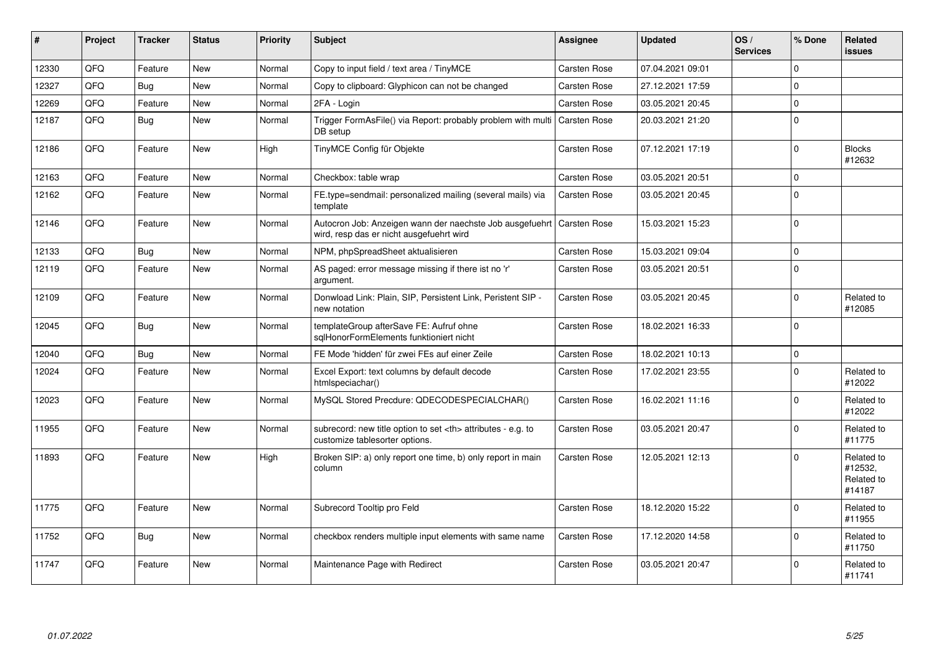| #     | Project | <b>Tracker</b> | <b>Status</b> | <b>Priority</b> | <b>Subject</b>                                                                                       | Assignee                                               | <b>Updated</b>      | OS/<br><b>Services</b> | % Done       | <b>Related</b><br>issues                      |                      |
|-------|---------|----------------|---------------|-----------------|------------------------------------------------------------------------------------------------------|--------------------------------------------------------|---------------------|------------------------|--------------|-----------------------------------------------|----------------------|
| 12330 | QFQ     | Feature        | <b>New</b>    | Normal          | Copy to input field / text area / TinyMCE                                                            | Carsten Rose                                           | 07.04.2021 09:01    |                        | $\Omega$     |                                               |                      |
| 12327 | QFQ     | Bug            | <b>New</b>    | Normal          | Copy to clipboard: Glyphicon can not be changed                                                      | Carsten Rose                                           | 27.12.2021 17:59    |                        | $\mathbf 0$  |                                               |                      |
| 12269 | QFQ     | Feature        | <b>New</b>    | Normal          | 2FA - Login                                                                                          | Carsten Rose                                           | 03.05.2021 20:45    |                        | $\mathbf 0$  |                                               |                      |
| 12187 | QFQ     | <b>Bug</b>     | New           | Normal          | Trigger FormAsFile() via Report: probably problem with multi<br>DB setup                             | Carsten Rose                                           | 20.03.2021 21:20    |                        | $\mathbf 0$  |                                               |                      |
| 12186 | QFQ     | Feature        | New           | High            | TinyMCE Config für Objekte                                                                           | Carsten Rose                                           | 07.12.2021 17:19    |                        | $\mathbf{0}$ | <b>Blocks</b><br>#12632                       |                      |
| 12163 | QFQ     | Feature        | New           | Normal          | Checkbox: table wrap                                                                                 | Carsten Rose                                           | 03.05.2021 20:51    |                        | $\Omega$     |                                               |                      |
| 12162 | QFQ     | Feature        | New           | Normal          | FE.type=sendmail: personalized mailing (several mails) via<br>template                               | Carsten Rose                                           | 03.05.2021 20:45    |                        | $\mathbf 0$  |                                               |                      |
| 12146 | QFQ     | Feature        | New           | Normal          | Autocron Job: Anzeigen wann der naechste Job ausgefuehrt<br>wird, resp das er nicht ausgefuehrt wird | Carsten Rose                                           | 15.03.2021 15:23    |                        | $\mathbf 0$  |                                               |                      |
| 12133 | QFQ     | Bug            | <b>New</b>    | Normal          | NPM, phpSpreadSheet aktualisieren                                                                    | Carsten Rose                                           | 15.03.2021 09:04    |                        | $\mathbf 0$  |                                               |                      |
| 12119 | QFQ     | Feature        | New           | Normal          | AS paged: error message missing if there ist no 'r'<br>argument.                                     | Carsten Rose                                           | 03.05.2021 20:51    |                        | $\Omega$     |                                               |                      |
| 12109 | QFQ     | Feature        | <b>New</b>    | Normal          | Donwload Link: Plain, SIP, Persistent Link, Peristent SIP -<br>new notation                          | Carsten Rose                                           | 03.05.2021 20:45    |                        | $\mathbf 0$  | Related to<br>#12085                          |                      |
| 12045 | QFQ     | <b>Bug</b>     | <b>New</b>    | Normal          | templateGroup afterSave FE: Aufruf ohne<br>sqlHonorFormElements funktioniert nicht                   | Carsten Rose                                           | 18.02.2021 16:33    |                        | $\mathbf 0$  |                                               |                      |
| 12040 | QFQ     | Bug            | New           | Normal          | FE Mode 'hidden' für zwei FEs auf einer Zeile                                                        | Carsten Rose                                           | 18.02.2021 10:13    |                        | $\mathbf 0$  |                                               |                      |
| 12024 | QFQ     | Feature        | New           | Normal          | Excel Export: text columns by default decode<br>htmlspeciachar()                                     | Carsten Rose                                           | 17.02.2021 23:55    |                        | $\Omega$     | Related to<br>#12022                          |                      |
| 12023 | QFQ     | Feature        | <b>New</b>    | Normal          | MySQL Stored Precdure: QDECODESPECIALCHAR()                                                          | Carsten Rose                                           | 16.02.2021 11:16    |                        | $\Omega$     | Related to<br>#12022                          |                      |
| 11955 | QFQ     | Feature        | <b>New</b>    | Normal          | subrecord: new title option to set <th> attributes - e.g. to<br/>customize tablesorter options.</th> | attributes - e.g. to<br>customize tablesorter options. | <b>Carsten Rose</b> | 03.05.2021 20:47       |              | $\mathbf 0$                                   | Related to<br>#11775 |
| 11893 | QFQ     | Feature        | <b>New</b>    | High            | Broken SIP: a) only report one time, b) only report in main<br>column                                | Carsten Rose                                           | 12.05.2021 12:13    |                        | $\Omega$     | Related to<br>#12532,<br>Related to<br>#14187 |                      |
| 11775 | QFQ     | Feature        | New           | Normal          | Subrecord Tooltip pro Feld                                                                           | <b>Carsten Rose</b>                                    | 18.12.2020 15:22    |                        | $\mathbf 0$  | Related to<br>#11955                          |                      |
| 11752 | QFQ     | <b>Bug</b>     | New           | Normal          | checkbox renders multiple input elements with same name                                              | <b>Carsten Rose</b>                                    | 17.12.2020 14:58    |                        | $\mathbf 0$  | Related to<br>#11750                          |                      |
| 11747 | QFQ     | Feature        | <b>New</b>    | Normal          | Maintenance Page with Redirect                                                                       | <b>Carsten Rose</b>                                    | 03.05.2021 20:47    |                        | $\Omega$     | Related to<br>#11741                          |                      |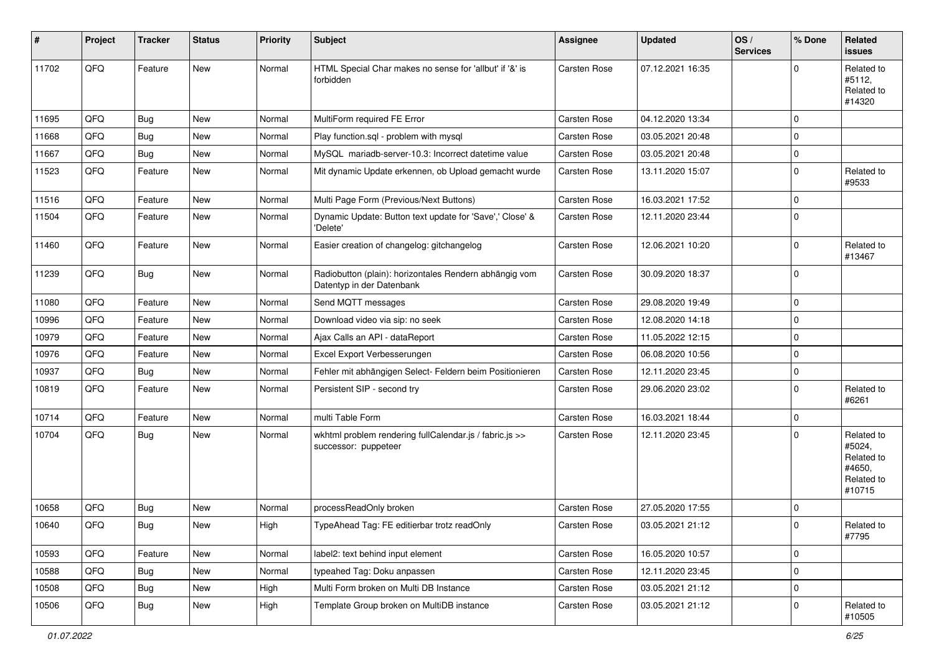| #     | Project | <b>Tracker</b> | <b>Status</b> | <b>Priority</b> | <b>Subject</b>                                                                      | Assignee            | <b>Updated</b>   | OS/<br><b>Services</b> | % Done      | Related<br><b>issues</b>                                             |
|-------|---------|----------------|---------------|-----------------|-------------------------------------------------------------------------------------|---------------------|------------------|------------------------|-------------|----------------------------------------------------------------------|
| 11702 | QFQ     | Feature        | New           | Normal          | HTML Special Char makes no sense for 'allbut' if '&' is<br>forbidden                | Carsten Rose        | 07.12.2021 16:35 |                        | $\Omega$    | Related to<br>#5112,<br>Related to<br>#14320                         |
| 11695 | QFQ     | <b>Bug</b>     | New           | Normal          | MultiForm required FE Error                                                         | Carsten Rose        | 04.12.2020 13:34 |                        | $\Omega$    |                                                                      |
| 11668 | QFQ     | <b>Bug</b>     | New           | Normal          | Play function.sql - problem with mysql                                              | <b>Carsten Rose</b> | 03.05.2021 20:48 |                        | $\mathbf 0$ |                                                                      |
| 11667 | QFQ     | <b>Bug</b>     | New           | Normal          | MySQL mariadb-server-10.3: Incorrect datetime value                                 | Carsten Rose        | 03.05.2021 20:48 |                        | $\mathbf 0$ |                                                                      |
| 11523 | QFQ     | Feature        | New           | Normal          | Mit dynamic Update erkennen, ob Upload gemacht wurde                                | Carsten Rose        | 13.11.2020 15:07 |                        | $\mathbf 0$ | Related to<br>#9533                                                  |
| 11516 | QFQ     | Feature        | New           | Normal          | Multi Page Form (Previous/Next Buttons)                                             | Carsten Rose        | 16.03.2021 17:52 |                        | $\mathbf 0$ |                                                                      |
| 11504 | QFQ     | Feature        | New           | Normal          | Dynamic Update: Button text update for 'Save',' Close' &<br>'Delete'                | Carsten Rose        | 12.11.2020 23:44 |                        | $\Omega$    |                                                                      |
| 11460 | QFQ     | Feature        | New           | Normal          | Easier creation of changelog: gitchangelog                                          | <b>Carsten Rose</b> | 12.06.2021 10:20 |                        | $\mathbf 0$ | Related to<br>#13467                                                 |
| 11239 | QFQ     | <b>Bug</b>     | New           | Normal          | Radiobutton (plain): horizontales Rendern abhängig vom<br>Datentyp in der Datenbank | Carsten Rose        | 30.09.2020 18:37 |                        | $\Omega$    |                                                                      |
| 11080 | QFQ     | Feature        | New           | Normal          | Send MQTT messages                                                                  | Carsten Rose        | 29.08.2020 19:49 |                        | $\Omega$    |                                                                      |
| 10996 | QFQ     | Feature        | New           | Normal          | Download video via sip: no seek                                                     | Carsten Rose        | 12.08.2020 14:18 |                        | $\mathbf 0$ |                                                                      |
| 10979 | QFQ     | Feature        | New           | Normal          | Ajax Calls an API - dataReport                                                      | Carsten Rose        | 11.05.2022 12:15 |                        | $\mathbf 0$ |                                                                      |
| 10976 | QFQ     | Feature        | New           | Normal          | Excel Export Verbesserungen                                                         | Carsten Rose        | 06.08.2020 10:56 |                        | $\mathbf 0$ |                                                                      |
| 10937 | QFQ     | <b>Bug</b>     | New           | Normal          | Fehler mit abhängigen Select- Feldern beim Positionieren                            | Carsten Rose        | 12.11.2020 23:45 |                        | 0           |                                                                      |
| 10819 | QFQ     | Feature        | New           | Normal          | Persistent SIP - second try                                                         | Carsten Rose        | 29.06.2020 23:02 |                        | $\mathbf 0$ | Related to<br>#6261                                                  |
| 10714 | QFQ     | Feature        | New           | Normal          | multi Table Form                                                                    | Carsten Rose        | 16.03.2021 18:44 |                        | $\pmb{0}$   |                                                                      |
| 10704 | QFQ     | Bug            | New           | Normal          | wkhtml problem rendering fullCalendar.js / fabric.js >><br>successor: puppeteer     | Carsten Rose        | 12.11.2020 23:45 |                        | $\Omega$    | Related to<br>#5024,<br>Related to<br>#4650,<br>Related to<br>#10715 |
| 10658 | QFQ     | <b>Bug</b>     | New           | Normal          | processReadOnly broken                                                              | Carsten Rose        | 27.05.2020 17:55 |                        | $\mathbf 0$ |                                                                      |
| 10640 | QFQ     | Bug            | New           | High            | TypeAhead Tag: FE editierbar trotz readOnly                                         | Carsten Rose        | 03.05.2021 21:12 |                        | $\mathbf 0$ | Related to<br>#7795                                                  |
| 10593 | QFQ     | Feature        | New           | Normal          | label2: text behind input element                                                   | Carsten Rose        | 16.05.2020 10:57 |                        | $\mathbf 0$ |                                                                      |
| 10588 | QFQ     | <b>Bug</b>     | New           | Normal          | typeahed Tag: Doku anpassen                                                         | Carsten Rose        | 12.11.2020 23:45 |                        | 0           |                                                                      |
| 10508 | QFQ     | <b>Bug</b>     | New           | High            | Multi Form broken on Multi DB Instance                                              | Carsten Rose        | 03.05.2021 21:12 |                        | $\pmb{0}$   |                                                                      |
| 10506 | QFQ     | <b>Bug</b>     | New           | High            | Template Group broken on MultiDB instance                                           | Carsten Rose        | 03.05.2021 21:12 |                        | $\mathbf 0$ | Related to<br>#10505                                                 |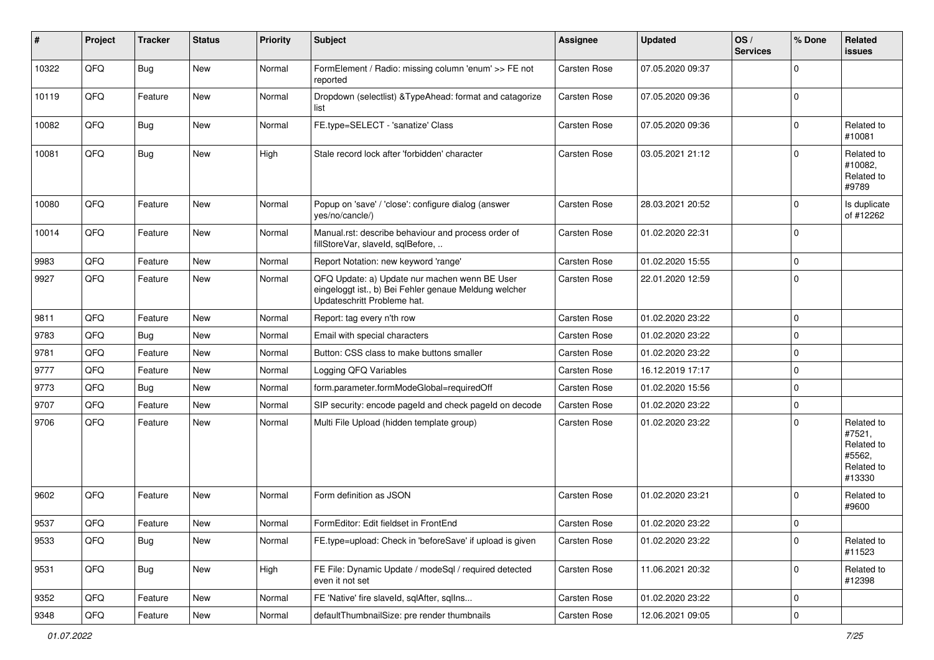| $\sharp$ | Project | <b>Tracker</b> | <b>Status</b> | <b>Priority</b> | <b>Subject</b>                                                                                                                        | <b>Assignee</b>     | <b>Updated</b>   | OS/<br><b>Services</b> | % Done      | Related<br><b>issues</b>                                             |
|----------|---------|----------------|---------------|-----------------|---------------------------------------------------------------------------------------------------------------------------------------|---------------------|------------------|------------------------|-------------|----------------------------------------------------------------------|
| 10322    | QFQ     | <b>Bug</b>     | New           | Normal          | FormElement / Radio: missing column 'enum' >> FE not<br>reported                                                                      | <b>Carsten Rose</b> | 07.05.2020 09:37 |                        | $\Omega$    |                                                                      |
| 10119    | QFQ     | Feature        | New           | Normal          | Dropdown (selectlist) & TypeAhead: format and catagorize<br>list                                                                      | Carsten Rose        | 07.05.2020 09:36 |                        | $\mathbf 0$ |                                                                      |
| 10082    | QFQ     | <b>Bug</b>     | New           | Normal          | FE.type=SELECT - 'sanatize' Class                                                                                                     | Carsten Rose        | 07.05.2020 09:36 |                        | 0           | Related to<br>#10081                                                 |
| 10081    | QFQ     | <b>Bug</b>     | New           | High            | Stale record lock after 'forbidden' character                                                                                         | Carsten Rose        | 03.05.2021 21:12 |                        | $\mathbf 0$ | Related to<br>#10082,<br>Related to<br>#9789                         |
| 10080    | QFQ     | Feature        | <b>New</b>    | Normal          | Popup on 'save' / 'close': configure dialog (answer<br>yes/no/cancle/)                                                                | <b>Carsten Rose</b> | 28.03.2021 20:52 |                        | $\Omega$    | Is duplicate<br>of #12262                                            |
| 10014    | QFQ     | Feature        | New           | Normal          | Manual.rst: describe behaviour and process order of<br>fillStoreVar, slaveId, sqlBefore,                                              | Carsten Rose        | 01.02.2020 22:31 |                        | $\Omega$    |                                                                      |
| 9983     | QFQ     | Feature        | <b>New</b>    | Normal          | Report Notation: new keyword 'range'                                                                                                  | Carsten Rose        | 01.02.2020 15:55 |                        | 0           |                                                                      |
| 9927     | QFQ     | Feature        | New           | Normal          | QFQ Update: a) Update nur machen wenn BE User<br>eingeloggt ist., b) Bei Fehler genaue Meldung welcher<br>Updateschritt Probleme hat. | Carsten Rose        | 22.01.2020 12:59 |                        | $\Omega$    |                                                                      |
| 9811     | QFQ     | Feature        | New           | Normal          | Report: tag every n'th row                                                                                                            | Carsten Rose        | 01.02.2020 23:22 |                        | 0           |                                                                      |
| 9783     | QFQ     | <b>Bug</b>     | New           | Normal          | Email with special characters                                                                                                         | Carsten Rose        | 01.02.2020 23:22 |                        | $\mathbf 0$ |                                                                      |
| 9781     | QFQ     | Feature        | New           | Normal          | Button: CSS class to make buttons smaller                                                                                             | Carsten Rose        | 01.02.2020 23:22 |                        | 0           |                                                                      |
| 9777     | QFQ     | Feature        | New           | Normal          | Logging QFQ Variables                                                                                                                 | Carsten Rose        | 16.12.2019 17:17 |                        | $\Omega$    |                                                                      |
| 9773     | QFQ     | <b>Bug</b>     | <b>New</b>    | Normal          | form.parameter.formModeGlobal=requiredOff                                                                                             | Carsten Rose        | 01.02.2020 15:56 |                        | 0           |                                                                      |
| 9707     | QFQ     | Feature        | New           | Normal          | SIP security: encode pageld and check pageld on decode                                                                                | Carsten Rose        | 01.02.2020 23:22 |                        | $\mathbf 0$ |                                                                      |
| 9706     | QFQ     | Feature        | New           | Normal          | Multi File Upload (hidden template group)                                                                                             | Carsten Rose        | 01.02.2020 23:22 |                        | $\Omega$    | Related to<br>#7521,<br>Related to<br>#5562,<br>Related to<br>#13330 |
| 9602     | QFQ     | Feature        | New           | Normal          | Form definition as JSON                                                                                                               | <b>Carsten Rose</b> | 01.02.2020 23:21 |                        | $\Omega$    | Related to<br>#9600                                                  |
| 9537     | QFQ     | Feature        | New           | Normal          | FormEditor: Edit fieldset in FrontEnd                                                                                                 | <b>Carsten Rose</b> | 01.02.2020 23:22 |                        | $\mathbf 0$ |                                                                      |
| 9533     | QFQ     | <b>Bug</b>     | New           | Normal          | FE.type=upload: Check in 'beforeSave' if upload is given                                                                              | Carsten Rose        | 01.02.2020 23:22 |                        | 0           | Related to<br>#11523                                                 |
| 9531     | QFQ     | <b>Bug</b>     | New           | High            | FE File: Dynamic Update / modeSql / required detected<br>even it not set                                                              | Carsten Rose        | 11.06.2021 20:32 |                        | 0           | Related to<br>#12398                                                 |
| 9352     | QFQ     | Feature        | New           | Normal          | FE 'Native' fire slaveld, sqlAfter, sqlIns                                                                                            | Carsten Rose        | 01.02.2020 23:22 |                        | 0           |                                                                      |
| 9348     | QFQ     | Feature        | New           | Normal          | defaultThumbnailSize: pre render thumbnails                                                                                           | Carsten Rose        | 12.06.2021 09:05 |                        | $\pmb{0}$   |                                                                      |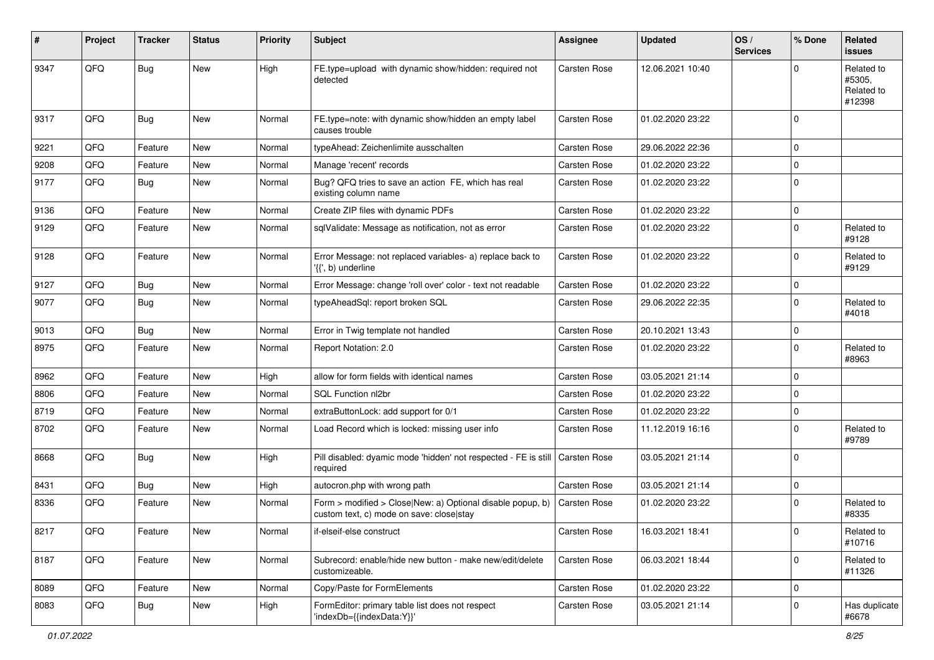| #    | Project | <b>Tracker</b> | <b>Status</b> | <b>Priority</b> | <b>Subject</b>                                                                                         | <b>Assignee</b>     | <b>Updated</b>   | OS/<br><b>Services</b> | % Done      | Related<br><b>issues</b>                     |
|------|---------|----------------|---------------|-----------------|--------------------------------------------------------------------------------------------------------|---------------------|------------------|------------------------|-------------|----------------------------------------------|
| 9347 | QFQ     | <b>Bug</b>     | <b>New</b>    | High            | FE.type=upload with dynamic show/hidden: required not<br>detected                                      | <b>Carsten Rose</b> | 12.06.2021 10:40 |                        | $\Omega$    | Related to<br>#5305.<br>Related to<br>#12398 |
| 9317 | QFQ     | <b>Bug</b>     | <b>New</b>    | Normal          | FE.type=note: with dynamic show/hidden an empty label<br>causes trouble                                | <b>Carsten Rose</b> | 01.02.2020 23:22 |                        | $\mathbf 0$ |                                              |
| 9221 | QFQ     | Feature        | <b>New</b>    | Normal          | typeAhead: Zeichenlimite ausschalten                                                                   | <b>Carsten Rose</b> | 29.06.2022 22:36 |                        | $\mathbf 0$ |                                              |
| 9208 | QFQ     | Feature        | New           | Normal          | Manage 'recent' records                                                                                | Carsten Rose        | 01.02.2020 23:22 |                        | $\mathbf 0$ |                                              |
| 9177 | QFQ     | Bug            | <b>New</b>    | Normal          | Bug? QFQ tries to save an action FE, which has real<br>existing column name                            | <b>Carsten Rose</b> | 01.02.2020 23:22 |                        | $\mathbf 0$ |                                              |
| 9136 | QFQ     | Feature        | <b>New</b>    | Normal          | Create ZIP files with dynamic PDFs                                                                     | Carsten Rose        | 01.02.2020 23:22 |                        | $\Omega$    |                                              |
| 9129 | QFQ     | Feature        | <b>New</b>    | Normal          | sqlValidate: Message as notification, not as error                                                     | <b>Carsten Rose</b> | 01.02.2020 23:22 |                        | $\mathbf 0$ | Related to<br>#9128                          |
| 9128 | QFQ     | Feature        | <b>New</b>    | Normal          | Error Message: not replaced variables- a) replace back to<br>'{{', b) underline                        | <b>Carsten Rose</b> | 01.02.2020 23:22 |                        | $\mathbf 0$ | Related to<br>#9129                          |
| 9127 | QFQ     | <b>Bug</b>     | New           | Normal          | Error Message: change 'roll over' color - text not readable                                            | Carsten Rose        | 01.02.2020 23:22 |                        | 0           |                                              |
| 9077 | QFQ     | <b>Bug</b>     | <b>New</b>    | Normal          | typeAheadSql: report broken SQL                                                                        | Carsten Rose        | 29.06.2022 22:35 |                        | $\Omega$    | Related to<br>#4018                          |
| 9013 | QFQ     | <b>Bug</b>     | New           | Normal          | Error in Twig template not handled                                                                     | <b>Carsten Rose</b> | 20.10.2021 13:43 |                        | $\mathbf 0$ |                                              |
| 8975 | QFQ     | Feature        | <b>New</b>    | Normal          | Report Notation: 2.0                                                                                   | Carsten Rose        | 01.02.2020 23:22 |                        | $\mathbf 0$ | Related to<br>#8963                          |
| 8962 | QFQ     | Feature        | <b>New</b>    | High            | allow for form fields with identical names                                                             | Carsten Rose        | 03.05.2021 21:14 |                        | $\Omega$    |                                              |
| 8806 | QFQ     | Feature        | <b>New</b>    | Normal          | SQL Function nl2br                                                                                     | Carsten Rose        | 01.02.2020 23:22 |                        | $\mathbf 0$ |                                              |
| 8719 | QFQ     | Feature        | New           | Normal          | extraButtonLock: add support for 0/1                                                                   | Carsten Rose        | 01.02.2020 23:22 |                        | $\pmb{0}$   |                                              |
| 8702 | QFQ     | Feature        | New           | Normal          | Load Record which is locked: missing user info                                                         | <b>Carsten Rose</b> | 11.12.2019 16:16 |                        | $\mathbf 0$ | Related to<br>#9789                          |
| 8668 | QFQ     | <b>Bug</b>     | New           | High            | Pill disabled: dyamic mode 'hidden' not respected - FE is still<br>required                            | Carsten Rose        | 03.05.2021 21:14 |                        | $\Omega$    |                                              |
| 8431 | QFQ     | <b>Bug</b>     | <b>New</b>    | High            | autocron.php with wrong path                                                                           | Carsten Rose        | 03.05.2021 21:14 |                        | 0           |                                              |
| 8336 | QFQ     | Feature        | <b>New</b>    | Normal          | Form > modified > Close New: a) Optional disable popup, b)<br>custom text, c) mode on save: closelstay | Carsten Rose        | 01.02.2020 23:22 |                        | $\mathbf 0$ | Related to<br>#8335                          |
| 8217 | QFQ     | Feature        | New           | Normal          | if-elseif-else construct                                                                               | Carsten Rose        | 16.03.2021 18:41 |                        | 0           | Related to<br>#10716                         |
| 8187 | QFQ     | Feature        | New           | Normal          | Subrecord: enable/hide new button - make new/edit/delete<br>customizeable.                             | <b>Carsten Rose</b> | 06.03.2021 18:44 |                        | $\mathbf 0$ | Related to<br>#11326                         |
| 8089 | QFQ     | Feature        | New           | Normal          | Copy/Paste for FormElements                                                                            | Carsten Rose        | 01.02.2020 23:22 |                        | $\mathbf 0$ |                                              |
| 8083 | QFO     | <b>Bug</b>     | New           | High            | FormEditor: primary table list does not respect<br>'indexDb={{indexData:Y}}'                           | Carsten Rose        | 03.05.2021 21:14 |                        | $\mathbf 0$ | Has duplicate<br>#6678                       |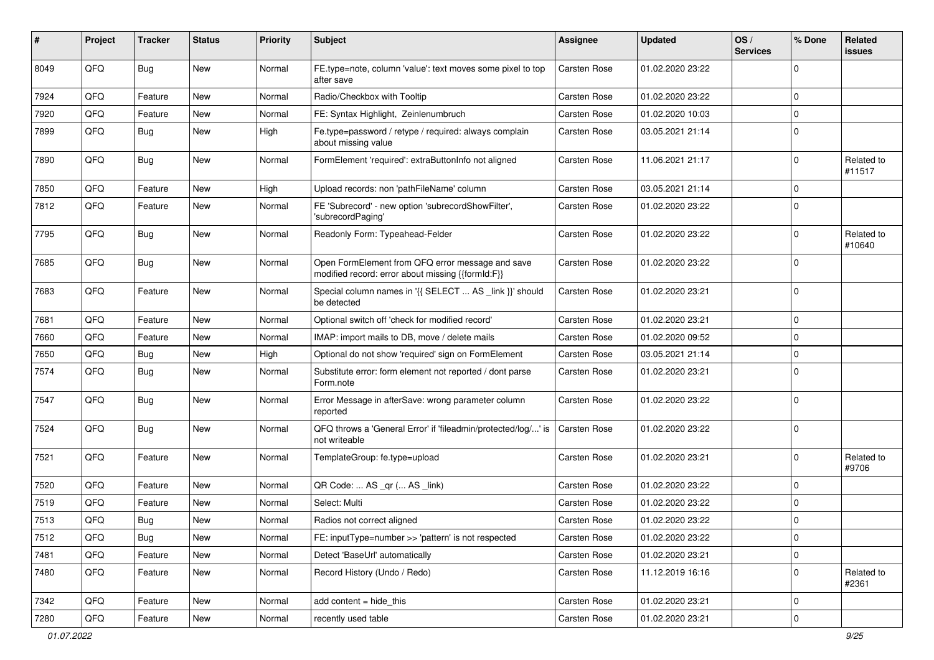| #    | Project | <b>Tracker</b> | <b>Status</b> | <b>Priority</b> | <b>Subject</b>                                                                                        | <b>Assignee</b>     | <b>Updated</b>   | OS/<br><b>Services</b> | % Done      | Related<br>issues    |
|------|---------|----------------|---------------|-----------------|-------------------------------------------------------------------------------------------------------|---------------------|------------------|------------------------|-------------|----------------------|
| 8049 | QFQ     | <b>Bug</b>     | New           | Normal          | FE.type=note, column 'value': text moves some pixel to top<br>after save                              | <b>Carsten Rose</b> | 01.02.2020 23:22 |                        | $\Omega$    |                      |
| 7924 | QFQ     | Feature        | <b>New</b>    | Normal          | Radio/Checkbox with Tooltip                                                                           | Carsten Rose        | 01.02.2020 23:22 |                        | $\Omega$    |                      |
| 7920 | QFQ     | Feature        | New           | Normal          | FE: Syntax Highlight, Zeinlenumbruch                                                                  | <b>Carsten Rose</b> | 01.02.2020 10:03 |                        | $\mathbf 0$ |                      |
| 7899 | QFQ     | <b>Bug</b>     | New           | High            | Fe.type=password / retype / required: always complain<br>about missing value                          | <b>Carsten Rose</b> | 03.05.2021 21:14 |                        | $\Omega$    |                      |
| 7890 | QFQ     | <b>Bug</b>     | <b>New</b>    | Normal          | FormElement 'required': extraButtonInfo not aligned                                                   | Carsten Rose        | 11.06.2021 21:17 |                        | 0           | Related to<br>#11517 |
| 7850 | QFQ     | Feature        | New           | High            | Upload records: non 'pathFileName' column                                                             | Carsten Rose        | 03.05.2021 21:14 |                        | $\Omega$    |                      |
| 7812 | QFQ     | Feature        | New           | Normal          | FE 'Subrecord' - new option 'subrecordShowFilter',<br>'subrecordPaging'                               | Carsten Rose        | 01.02.2020 23:22 |                        | 0           |                      |
| 7795 | QFQ     | <b>Bug</b>     | <b>New</b>    | Normal          | Readonly Form: Typeahead-Felder                                                                       | Carsten Rose        | 01.02.2020 23:22 |                        | $\mathbf 0$ | Related to<br>#10640 |
| 7685 | QFQ     | <b>Bug</b>     | <b>New</b>    | Normal          | Open FormElement from QFQ error message and save<br>modified record: error about missing {{formId:F}} | Carsten Rose        | 01.02.2020 23:22 |                        | $\mathbf 0$ |                      |
| 7683 | QFQ     | Feature        | New           | Normal          | Special column names in '{{ SELECT  AS _link }}' should<br>be detected                                | Carsten Rose        | 01.02.2020 23:21 |                        | $\Omega$    |                      |
| 7681 | QFQ     | Feature        | New           | Normal          | Optional switch off 'check for modified record'                                                       | <b>Carsten Rose</b> | 01.02.2020 23:21 |                        | 0           |                      |
| 7660 | QFQ     | Feature        | New           | Normal          | IMAP: import mails to DB, move / delete mails                                                         | Carsten Rose        | 01.02.2020 09:52 |                        | $\Omega$    |                      |
| 7650 | QFQ     | <b>Bug</b>     | <b>New</b>    | High            | Optional do not show 'required' sign on FormElement                                                   | Carsten Rose        | 03.05.2021 21:14 |                        | $\Omega$    |                      |
| 7574 | QFQ     | <b>Bug</b>     | New           | Normal          | Substitute error: form element not reported / dont parse<br>Form.note                                 | Carsten Rose        | 01.02.2020 23:21 |                        | $\mathbf 0$ |                      |
| 7547 | QFQ     | <b>Bug</b>     | <b>New</b>    | Normal          | Error Message in afterSave: wrong parameter column<br>reported                                        | Carsten Rose        | 01.02.2020 23:22 |                        | 0           |                      |
| 7524 | QFQ     | Bug            | New           | Normal          | QFQ throws a 'General Error' if 'fileadmin/protected/log/' is<br>not writeable                        | Carsten Rose        | 01.02.2020 23:22 |                        | 0           |                      |
| 7521 | QFQ     | Feature        | New           | Normal          | TemplateGroup: fe.type=upload                                                                         | Carsten Rose        | 01.02.2020 23:21 |                        | $\mathbf 0$ | Related to<br>#9706  |
| 7520 | QFQ     | Feature        | New           | Normal          | QR Code:  AS _qr ( AS _link)                                                                          | <b>Carsten Rose</b> | 01.02.2020 23:22 |                        | $\mathbf 0$ |                      |
| 7519 | QFQ     | Feature        | New           | Normal          | Select: Multi                                                                                         | Carsten Rose        | 01.02.2020 23:22 |                        | $\Omega$    |                      |
| 7513 | QFQ     | <b>Bug</b>     | New           | Normal          | Radios not correct aligned                                                                            | Carsten Rose        | 01.02.2020 23:22 |                        | $\mathbf 0$ |                      |
| 7512 | QFQ     | <b>Bug</b>     | New           | Normal          | FE: inputType=number >> 'pattern' is not respected                                                    | Carsten Rose        | 01.02.2020 23:22 |                        | 0           |                      |
| 7481 | QFQ     | Feature        | New           | Normal          | Detect 'BaseUrl' automatically                                                                        | Carsten Rose        | 01.02.2020 23:21 |                        | 0           |                      |
| 7480 | QFQ     | Feature        | New           | Normal          | Record History (Undo / Redo)                                                                          | Carsten Rose        | 11.12.2019 16:16 |                        | 0           | Related to<br>#2361  |
| 7342 | QFQ     | Feature        | New           | Normal          | add content = hide_this                                                                               | Carsten Rose        | 01.02.2020 23:21 |                        | 0           |                      |
| 7280 | QFQ     | Feature        | New           | Normal          | recently used table                                                                                   | Carsten Rose        | 01.02.2020 23:21 |                        | 0           |                      |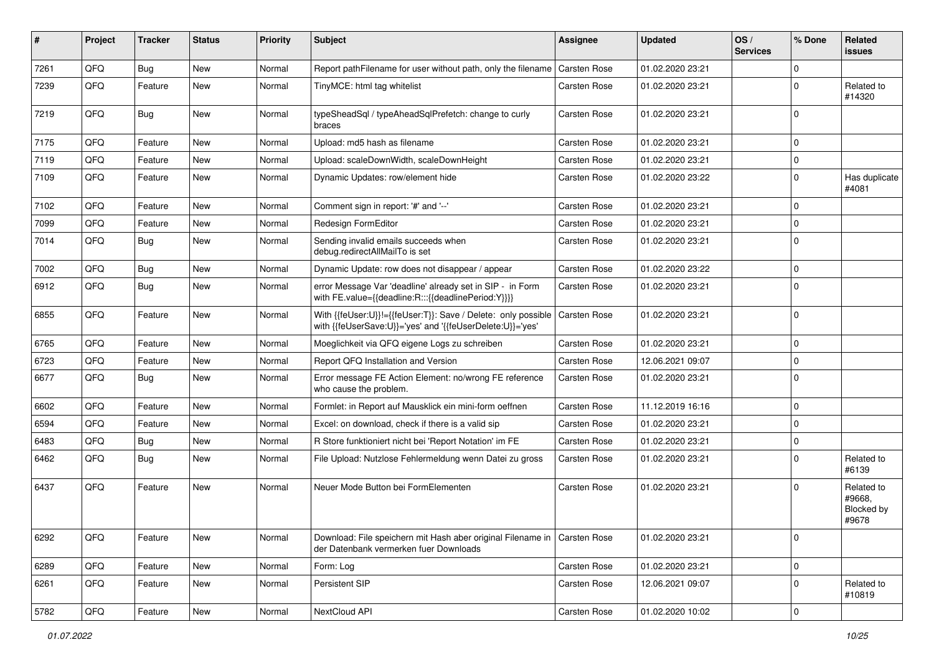| #    | Project | <b>Tracker</b> | <b>Status</b> | <b>Priority</b> | <b>Subject</b>                                                                                                             | Assignee            | <b>Updated</b>   | OS/<br><b>Services</b> | % Done      | Related<br><b>issues</b>                    |
|------|---------|----------------|---------------|-----------------|----------------------------------------------------------------------------------------------------------------------------|---------------------|------------------|------------------------|-------------|---------------------------------------------|
| 7261 | QFQ     | <b>Bug</b>     | New           | Normal          | Report pathFilename for user without path, only the filename                                                               | <b>Carsten Rose</b> | 01.02.2020 23:21 |                        | $\mathbf 0$ |                                             |
| 7239 | QFQ     | Feature        | New           | Normal          | TinyMCE: html tag whitelist                                                                                                | Carsten Rose        | 01.02.2020 23:21 |                        | $\mathbf 0$ | Related to<br>#14320                        |
| 7219 | QFQ     | <b>Bug</b>     | <b>New</b>    | Normal          | typeSheadSql / typeAheadSqlPrefetch: change to curly<br>braces                                                             | Carsten Rose        | 01.02.2020 23:21 |                        | $\mathbf 0$ |                                             |
| 7175 | QFQ     | Feature        | New           | Normal          | Upload: md5 hash as filename                                                                                               | Carsten Rose        | 01.02.2020 23:21 |                        | $\mathbf 0$ |                                             |
| 7119 | QFQ     | Feature        | New           | Normal          | Upload: scaleDownWidth, scaleDownHeight                                                                                    | Carsten Rose        | 01.02.2020 23:21 |                        | $\mathbf 0$ |                                             |
| 7109 | QFQ     | Feature        | New           | Normal          | Dynamic Updates: row/element hide                                                                                          | Carsten Rose        | 01.02.2020 23:22 |                        | $\mathbf 0$ | Has duplicate<br>#4081                      |
| 7102 | QFQ     | Feature        | New           | Normal          | Comment sign in report: '#' and '--'                                                                                       | Carsten Rose        | 01.02.2020 23:21 |                        | $\mathbf 0$ |                                             |
| 7099 | QFQ     | Feature        | New           | Normal          | Redesign FormEditor                                                                                                        | Carsten Rose        | 01.02.2020 23:21 |                        | $\mathbf 0$ |                                             |
| 7014 | QFQ     | <b>Bug</b>     | New           | Normal          | Sending invalid emails succeeds when<br>debug.redirectAllMailTo is set                                                     | <b>Carsten Rose</b> | 01.02.2020 23:21 |                        | $\mathbf 0$ |                                             |
| 7002 | QFQ     | <b>Bug</b>     | New           | Normal          | Dynamic Update: row does not disappear / appear                                                                            | Carsten Rose        | 01.02.2020 23:22 |                        | $\mathbf 0$ |                                             |
| 6912 | QFQ     | Bug            | New           | Normal          | error Message Var 'deadline' already set in SIP - in Form<br>with FE.value={{deadline:R:::{{deadlinePeriod:Y}}}}           | Carsten Rose        | 01.02.2020 23:21 |                        | $\Omega$    |                                             |
| 6855 | QFQ     | Feature        | New           | Normal          | With {{feUser:U}}!={{feUser:T}}: Save / Delete: only possible<br>with {{feUserSave:U}}='yes' and '{{feUserDelete:U}}='yes' | <b>Carsten Rose</b> | 01.02.2020 23:21 |                        | $\Omega$    |                                             |
| 6765 | QFQ     | Feature        | New           | Normal          | Moeglichkeit via QFQ eigene Logs zu schreiben                                                                              | Carsten Rose        | 01.02.2020 23:21 |                        | $\Omega$    |                                             |
| 6723 | QFQ     | Feature        | New           | Normal          | Report QFQ Installation and Version                                                                                        | Carsten Rose        | 12.06.2021 09:07 |                        | $\mathbf 0$ |                                             |
| 6677 | QFQ     | <b>Bug</b>     | New           | Normal          | Error message FE Action Element: no/wrong FE reference<br>who cause the problem.                                           | Carsten Rose        | 01.02.2020 23:21 |                        | $\Omega$    |                                             |
| 6602 | QFQ     | Feature        | New           | Normal          | Formlet: in Report auf Mausklick ein mini-form oeffnen                                                                     | <b>Carsten Rose</b> | 11.12.2019 16:16 |                        | $\mathbf 0$ |                                             |
| 6594 | QFQ     | Feature        | New           | Normal          | Excel: on download, check if there is a valid sip                                                                          | Carsten Rose        | 01.02.2020 23:21 |                        | $\mathbf 0$ |                                             |
| 6483 | QFQ     | <b>Bug</b>     | New           | Normal          | R Store funktioniert nicht bei 'Report Notation' im FE                                                                     | Carsten Rose        | 01.02.2020 23:21 |                        | $\mathbf 0$ |                                             |
| 6462 | QFQ     | <b>Bug</b>     | New           | Normal          | File Upload: Nutzlose Fehlermeldung wenn Datei zu gross                                                                    | Carsten Rose        | 01.02.2020 23:21 |                        | $\mathbf 0$ | Related to<br>#6139                         |
| 6437 | QFQ     | Feature        | New           | Normal          | Neuer Mode Button bei FormElementen                                                                                        | Carsten Rose        | 01.02.2020 23:21 |                        | $\Omega$    | Related to<br>#9668,<br>Blocked by<br>#9678 |
| 6292 | QFQ     | Feature        | New           | Normal          | Download: File speichern mit Hash aber original Filename in   Carsten Rose<br>der Datenbank vermerken fuer Downloads       |                     | 01.02.2020 23:21 |                        | 0           |                                             |
| 6289 | QFQ     | Feature        | New           | Normal          | Form: Log                                                                                                                  | Carsten Rose        | 01.02.2020 23:21 |                        | $\mathbf 0$ |                                             |
| 6261 | QFQ     | Feature        | New           | Normal          | Persistent SIP                                                                                                             | Carsten Rose        | 12.06.2021 09:07 |                        | $\pmb{0}$   | Related to<br>#10819                        |
| 5782 | QFG     | Feature        | New           | Normal          | NextCloud API                                                                                                              | Carsten Rose        | 01.02.2020 10:02 |                        | 0           |                                             |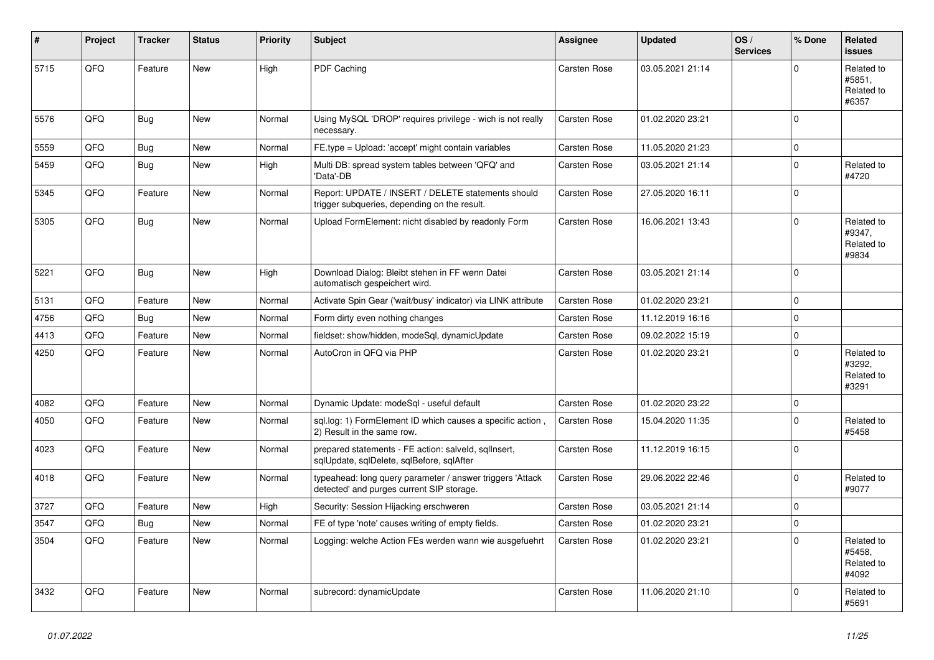| #    | Project | <b>Tracker</b> | <b>Status</b> | <b>Priority</b> | <b>Subject</b>                                                                                         | Assignee     | <b>Updated</b>   | OS/<br><b>Services</b> | % Done       | Related<br><b>issues</b>                    |
|------|---------|----------------|---------------|-----------------|--------------------------------------------------------------------------------------------------------|--------------|------------------|------------------------|--------------|---------------------------------------------|
| 5715 | QFQ     | Feature        | <b>New</b>    | High            | PDF Caching                                                                                            | Carsten Rose | 03.05.2021 21:14 |                        | $\Omega$     | Related to<br>#5851.<br>Related to<br>#6357 |
| 5576 | QFQ     | Bug            | <b>New</b>    | Normal          | Using MySQL 'DROP' requires privilege - wich is not really<br>necessary.                               | Carsten Rose | 01.02.2020 23:21 |                        | $\mathbf 0$  |                                             |
| 5559 | QFQ     | Bug            | <b>New</b>    | Normal          | FE.type = Upload: 'accept' might contain variables                                                     | Carsten Rose | 11.05.2020 21:23 |                        | $\mathbf 0$  |                                             |
| 5459 | QFQ     | Bug            | New           | High            | Multi DB: spread system tables between 'QFQ' and<br>'Data'-DB                                          | Carsten Rose | 03.05.2021 21:14 |                        | $\mathbf 0$  | Related to<br>#4720                         |
| 5345 | QFQ     | Feature        | <b>New</b>    | Normal          | Report: UPDATE / INSERT / DELETE statements should<br>trigger subqueries, depending on the result.     | Carsten Rose | 27.05.2020 16:11 |                        | $\mathbf 0$  |                                             |
| 5305 | QFQ     | <b>Bug</b>     | <b>New</b>    | Normal          | Upload FormElement: nicht disabled by readonly Form                                                    | Carsten Rose | 16.06.2021 13:43 |                        | $\Omega$     | Related to<br>#9347,<br>Related to<br>#9834 |
| 5221 | QFQ     | <b>Bug</b>     | New           | High            | Download Dialog: Bleibt stehen in FF wenn Datei<br>automatisch gespeichert wird.                       | Carsten Rose | 03.05.2021 21:14 |                        | $\Omega$     |                                             |
| 5131 | QFQ     | Feature        | <b>New</b>    | Normal          | Activate Spin Gear ('wait/busy' indicator) via LINK attribute                                          | Carsten Rose | 01.02.2020 23:21 |                        | $\mathbf{0}$ |                                             |
| 4756 | QFQ     | Bug            | New           | Normal          | Form dirty even nothing changes                                                                        | Carsten Rose | 11.12.2019 16:16 |                        | $\mathbf 0$  |                                             |
| 4413 | QFQ     | Feature        | New           | Normal          | fieldset: show/hidden, modeSql, dynamicUpdate                                                          | Carsten Rose | 09.02.2022 15:19 |                        | $\Omega$     |                                             |
| 4250 | QFQ     | Feature        | New           | Normal          | AutoCron in QFQ via PHP                                                                                | Carsten Rose | 01.02.2020 23:21 |                        | $\Omega$     | Related to<br>#3292,<br>Related to<br>#3291 |
| 4082 | QFQ     | Feature        | <b>New</b>    | Normal          | Dynamic Update: modeSql - useful default                                                               | Carsten Rose | 01.02.2020 23:22 |                        | $\Omega$     |                                             |
| 4050 | QFQ     | Feature        | New           | Normal          | sgl.log: 1) FormElement ID which causes a specific action,<br>2) Result in the same row.               | Carsten Rose | 15.04.2020 11:35 |                        | $\Omega$     | Related to<br>#5458                         |
| 4023 | QFQ     | Feature        | New           | Normal          | prepared statements - FE action: salveld, sqllnsert,<br>sqlUpdate, sqlDelete, sqlBefore, sqlAfter      | Carsten Rose | 11.12.2019 16:15 |                        | $\Omega$     |                                             |
| 4018 | QFQ     | Feature        | <b>New</b>    | Normal          | typeahead: long query parameter / answer triggers 'Attack<br>detected' and purges current SIP storage. | Carsten Rose | 29.06.2022 22:46 |                        | $\Omega$     | Related to<br>#9077                         |
| 3727 | QFQ     | Feature        | <b>New</b>    | High            | Security: Session Hijacking erschweren                                                                 | Carsten Rose | 03.05.2021 21:14 |                        | $\mathbf 0$  |                                             |
| 3547 | QFQ     | Bug            | <b>New</b>    | Normal          | FE of type 'note' causes writing of empty fields.                                                      | Carsten Rose | 01.02.2020 23:21 |                        | $\mathbf 0$  |                                             |
| 3504 | QFQ     | Feature        | New           | Normal          | Logging: welche Action FEs werden wann wie ausgefuehrt                                                 | Carsten Rose | 01.02.2020 23:21 |                        | $\mathbf 0$  | Related to<br>#5458.<br>Related to<br>#4092 |
| 3432 | QFQ     | Feature        | <b>New</b>    | Normal          | subrecord: dynamicUpdate                                                                               | Carsten Rose | 11.06.2020 21:10 |                        | $\Omega$     | Related to<br>#5691                         |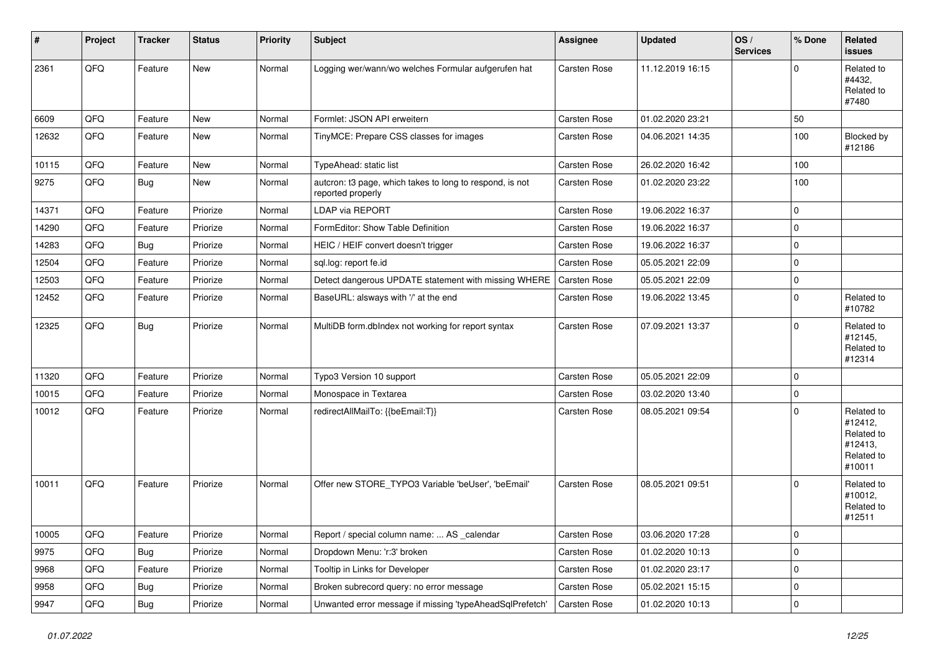| $\sharp$ | Project | <b>Tracker</b> | <b>Status</b> | <b>Priority</b> | <b>Subject</b>                                                                | <b>Assignee</b>     | <b>Updated</b>   | OS/<br><b>Services</b> | % Done      | Related<br><b>issues</b>                                               |
|----------|---------|----------------|---------------|-----------------|-------------------------------------------------------------------------------|---------------------|------------------|------------------------|-------------|------------------------------------------------------------------------|
| 2361     | QFQ     | Feature        | New           | Normal          | Logging wer/wann/wo welches Formular aufgerufen hat                           | <b>Carsten Rose</b> | 11.12.2019 16:15 |                        | $\Omega$    | Related to<br>#4432,<br>Related to<br>#7480                            |
| 6609     | QFQ     | Feature        | New           | Normal          | Formlet: JSON API erweitern                                                   | Carsten Rose        | 01.02.2020 23:21 |                        | 50          |                                                                        |
| 12632    | QFQ     | Feature        | New           | Normal          | TinyMCE: Prepare CSS classes for images                                       | <b>Carsten Rose</b> | 04.06.2021 14:35 |                        | 100         | Blocked by<br>#12186                                                   |
| 10115    | QFQ     | Feature        | <b>New</b>    | Normal          | TypeAhead: static list                                                        | Carsten Rose        | 26.02.2020 16:42 |                        | 100         |                                                                        |
| 9275     | QFQ     | <b>Bug</b>     | New           | Normal          | autcron: t3 page, which takes to long to respond, is not<br>reported properly | Carsten Rose        | 01.02.2020 23:22 |                        | 100         |                                                                        |
| 14371    | QFQ     | Feature        | Priorize      | Normal          | <b>LDAP via REPORT</b>                                                        | Carsten Rose        | 19.06.2022 16:37 |                        | $\mathbf 0$ |                                                                        |
| 14290    | QFQ     | Feature        | Priorize      | Normal          | FormEditor: Show Table Definition                                             | Carsten Rose        | 19.06.2022 16:37 |                        | $\mathbf 0$ |                                                                        |
| 14283    | QFQ     | Bug            | Priorize      | Normal          | HEIC / HEIF convert doesn't trigger                                           | Carsten Rose        | 19.06.2022 16:37 |                        | $\pmb{0}$   |                                                                        |
| 12504    | QFQ     | Feature        | Priorize      | Normal          | sql.log: report fe.id                                                         | Carsten Rose        | 05.05.2021 22:09 |                        | $\mathbf 0$ |                                                                        |
| 12503    | QFQ     | Feature        | Priorize      | Normal          | Detect dangerous UPDATE statement with missing WHERE                          | Carsten Rose        | 05.05.2021 22:09 |                        | $\mathbf 0$ |                                                                        |
| 12452    | QFG     | Feature        | Priorize      | Normal          | BaseURL: alsways with '/' at the end                                          | Carsten Rose        | 19.06.2022 13:45 |                        | $\mathbf 0$ | Related to<br>#10782                                                   |
| 12325    | QFQ     | <b>Bug</b>     | Priorize      | Normal          | MultiDB form.dblndex not working for report syntax                            | Carsten Rose        | 07.09.2021 13:37 |                        | $\Omega$    | Related to<br>#12145,<br>Related to<br>#12314                          |
| 11320    | QFQ     | Feature        | Priorize      | Normal          | Typo3 Version 10 support                                                      | Carsten Rose        | 05.05.2021 22:09 |                        | $\mathbf 0$ |                                                                        |
| 10015    | QFQ     | Feature        | Priorize      | Normal          | Monospace in Textarea                                                         | Carsten Rose        | 03.02.2020 13:40 |                        | $\mathbf 0$ |                                                                        |
| 10012    | QFQ     | Feature        | Priorize      | Normal          | redirectAllMailTo: {{beEmail:T}}                                              | Carsten Rose        | 08.05.2021 09:54 |                        | $\mathbf 0$ | Related to<br>#12412,<br>Related to<br>#12413,<br>Related to<br>#10011 |
| 10011    | QFQ     | Feature        | Priorize      | Normal          | Offer new STORE_TYPO3 Variable 'beUser', 'beEmail'                            | <b>Carsten Rose</b> | 08.05.2021 09:51 |                        | $\Omega$    | Related to<br>#10012,<br>Related to<br>#12511                          |
| 10005    | QFQ     | Feature        | Priorize      | Normal          | Report / special column name:  AS _calendar                                   | Carsten Rose        | 03.06.2020 17:28 |                        | 0           |                                                                        |
| 9975     | QFQ     | Bug            | Priorize      | Normal          | Dropdown Menu: 'r:3' broken                                                   | Carsten Rose        | 01.02.2020 10:13 |                        | 0           |                                                                        |
| 9968     | QFQ     | Feature        | Priorize      | Normal          | Tooltip in Links for Developer                                                | Carsten Rose        | 01.02.2020 23:17 |                        | $\pmb{0}$   |                                                                        |
| 9958     | QFQ     | <b>Bug</b>     | Priorize      | Normal          | Broken subrecord query: no error message                                      | Carsten Rose        | 05.02.2021 15:15 |                        | $\mathbf 0$ |                                                                        |
| 9947     | QFQ     | Bug            | Priorize      | Normal          | Unwanted error message if missing 'typeAheadSqlPrefetch'                      | Carsten Rose        | 01.02.2020 10:13 |                        | $\pmb{0}$   |                                                                        |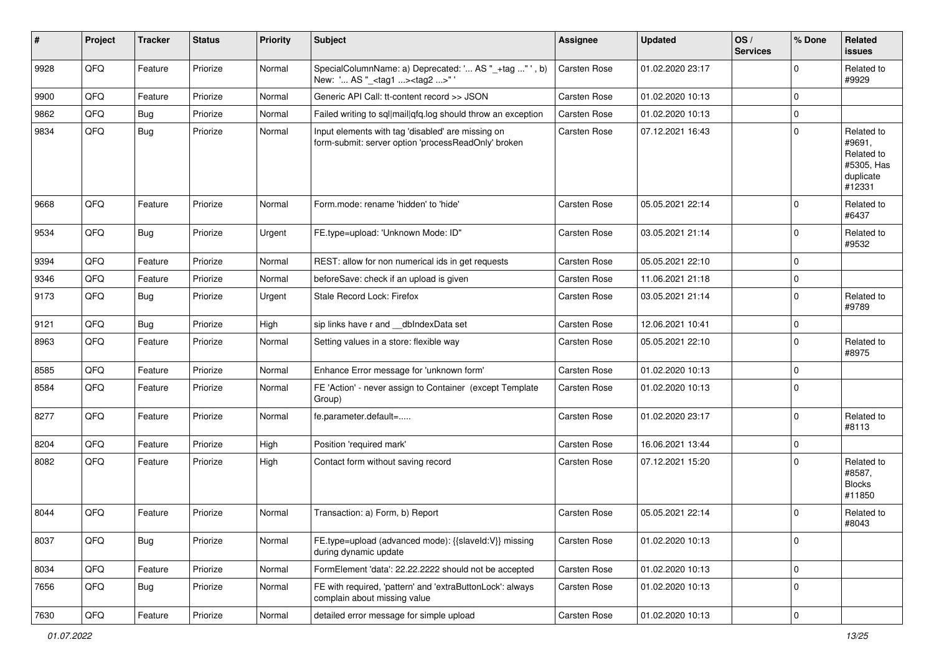| #    | Project | <b>Tracker</b> | <b>Status</b> | <b>Priority</b> | <b>Subject</b>                                                                                           | Assignee            | <b>Updated</b>   | OS/<br><b>Services</b> | % Done         | Related<br><b>issues</b>                                                |
|------|---------|----------------|---------------|-----------------|----------------------------------------------------------------------------------------------------------|---------------------|------------------|------------------------|----------------|-------------------------------------------------------------------------|
| 9928 | QFQ     | Feature        | Priorize      | Normal          | SpecialColumnName: a) Deprecated: ' AS "_+tag " ', b)<br>New: ' AS "_ <tag1><tag2>"</tag2></tag1>        | <b>Carsten Rose</b> | 01.02.2020 23:17 |                        | $\Omega$       | Related to<br>#9929                                                     |
| 9900 | QFQ     | Feature        | Priorize      | Normal          | Generic API Call: tt-content record >> JSON                                                              | Carsten Rose        | 01.02.2020 10:13 |                        | $\mathbf 0$    |                                                                         |
| 9862 | QFQ     | <b>Bug</b>     | Priorize      | Normal          | Failed writing to sql mail qfq.log should throw an exception                                             | <b>Carsten Rose</b> | 01.02.2020 10:13 |                        | $\mathbf 0$    |                                                                         |
| 9834 | QFQ     | <b>Bug</b>     | Priorize      | Normal          | Input elements with tag 'disabled' are missing on<br>form-submit: server option 'processReadOnly' broken | Carsten Rose        | 07.12.2021 16:43 |                        | $\mathbf 0$    | Related to<br>#9691,<br>Related to<br>#5305, Has<br>duplicate<br>#12331 |
| 9668 | QFQ     | Feature        | Priorize      | Normal          | Form.mode: rename 'hidden' to 'hide'                                                                     | Carsten Rose        | 05.05.2021 22:14 |                        | $\Omega$       | Related to<br>#6437                                                     |
| 9534 | QFQ     | <b>Bug</b>     | Priorize      | Urgent          | FE.type=upload: 'Unknown Mode: ID"                                                                       | <b>Carsten Rose</b> | 03.05.2021 21:14 |                        | $\mathbf 0$    | Related to<br>#9532                                                     |
| 9394 | QFQ     | Feature        | Priorize      | Normal          | REST: allow for non numerical ids in get requests                                                        | <b>Carsten Rose</b> | 05.05.2021 22:10 |                        | $\mathbf 0$    |                                                                         |
| 9346 | QFQ     | Feature        | Priorize      | Normal          | beforeSave: check if an upload is given                                                                  | <b>Carsten Rose</b> | 11.06.2021 21:18 |                        | $\pmb{0}$      |                                                                         |
| 9173 | QFQ     | Bug            | Priorize      | Urgent          | Stale Record Lock: Firefox                                                                               | <b>Carsten Rose</b> | 03.05.2021 21:14 |                        | $\mathbf 0$    | Related to<br>#9789                                                     |
| 9121 | QFQ     | <b>Bug</b>     | Priorize      | High            | sip links have r and dblndexData set                                                                     | Carsten Rose        | 12.06.2021 10:41 |                        | $\pmb{0}$      |                                                                         |
| 8963 | QFQ     | Feature        | Priorize      | Normal          | Setting values in a store: flexible way                                                                  | <b>Carsten Rose</b> | 05.05.2021 22:10 |                        | $\Omega$       | Related to<br>#8975                                                     |
| 8585 | QFQ     | Feature        | Priorize      | Normal          | Enhance Error message for 'unknown form'                                                                 | Carsten Rose        | 01.02.2020 10:13 |                        | $\mathbf 0$    |                                                                         |
| 8584 | QFQ     | Feature        | Priorize      | Normal          | FE 'Action' - never assign to Container (except Template<br>Group)                                       | <b>Carsten Rose</b> | 01.02.2020 10:13 |                        | $\mathbf 0$    |                                                                         |
| 8277 | QFQ     | Feature        | Priorize      | Normal          | fe.parameter.default=                                                                                    | Carsten Rose        | 01.02.2020 23:17 |                        | $\Omega$       | Related to<br>#8113                                                     |
| 8204 | QFQ     | Feature        | Priorize      | High            | Position 'required mark'                                                                                 | Carsten Rose        | 16.06.2021 13:44 |                        | $\pmb{0}$      |                                                                         |
| 8082 | QFQ     | Feature        | Priorize      | High            | Contact form without saving record                                                                       | Carsten Rose        | 07.12.2021 15:20 |                        | $\Omega$       | Related to<br>#8587,<br><b>Blocks</b><br>#11850                         |
| 8044 | QFQ     | Feature        | Priorize      | Normal          | Transaction: a) Form, b) Report                                                                          | <b>Carsten Rose</b> | 05.05.2021 22:14 |                        | $\mathbf 0$    | Related to<br>#8043                                                     |
| 8037 | QFQ     | <b>Bug</b>     | Priorize      | Normal          | FE.type=upload (advanced mode): {{slaveld:V}} missing<br>during dynamic update                           | Carsten Rose        | 01.02.2020 10:13 |                        | $\pmb{0}$      |                                                                         |
| 8034 | QFQ     | Feature        | Priorize      | Normal          | FormElement 'data': 22.22.2222 should not be accepted                                                    | Carsten Rose        | 01.02.2020 10:13 |                        | $\pmb{0}$      |                                                                         |
| 7656 | QFQ     | <b>Bug</b>     | Priorize      | Normal          | FE with required, 'pattern' and 'extraButtonLock': always<br>complain about missing value                | Carsten Rose        | 01.02.2020 10:13 |                        | $\mathbf 0$    |                                                                         |
| 7630 | QFG     | Feature        | Priorize      | Normal          | detailed error message for simple upload                                                                 | Carsten Rose        | 01.02.2020 10:13 |                        | $\overline{0}$ |                                                                         |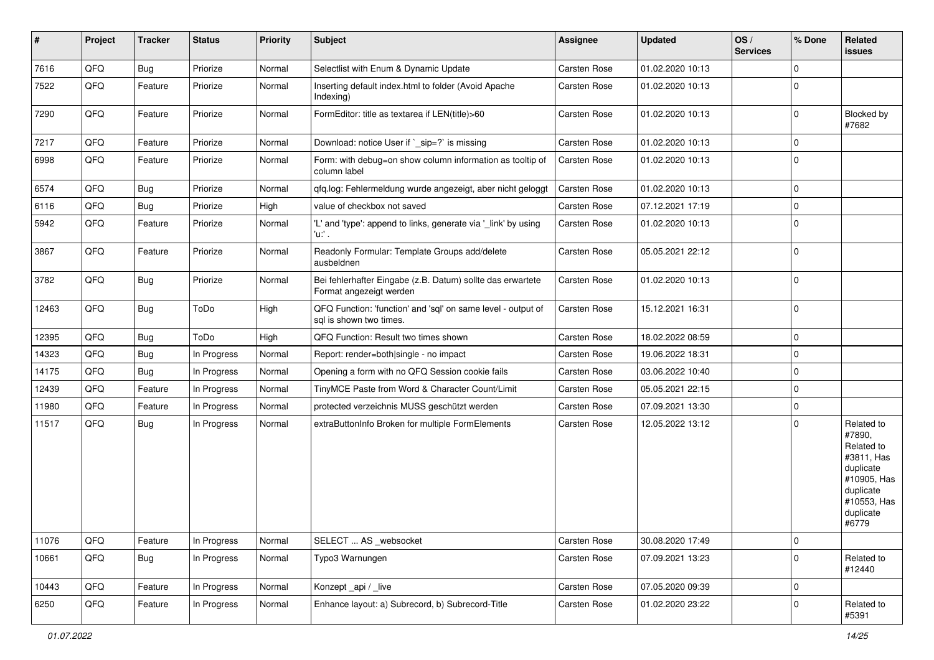| #     | Project | <b>Tracker</b> | <b>Status</b> | <b>Priority</b> | <b>Subject</b>                                                                          | <b>Assignee</b>     | <b>Updated</b>   | OS/<br><b>Services</b> | % Done      | Related<br>issues                                                                                                              |
|-------|---------|----------------|---------------|-----------------|-----------------------------------------------------------------------------------------|---------------------|------------------|------------------------|-------------|--------------------------------------------------------------------------------------------------------------------------------|
| 7616  | QFQ     | <b>Bug</b>     | Priorize      | Normal          | Selectlist with Enum & Dynamic Update                                                   | <b>Carsten Rose</b> | 01.02.2020 10:13 |                        | $\Omega$    |                                                                                                                                |
| 7522  | QFQ     | Feature        | Priorize      | Normal          | Inserting default index.html to folder (Avoid Apache<br>Indexing)                       | Carsten Rose        | 01.02.2020 10:13 |                        | $\Omega$    |                                                                                                                                |
| 7290  | QFQ     | Feature        | Priorize      | Normal          | FormEditor: title as textarea if LEN(title)>60                                          | Carsten Rose        | 01.02.2020 10:13 |                        | $\Omega$    | <b>Blocked by</b><br>#7682                                                                                                     |
| 7217  | QFQ     | Feature        | Priorize      | Normal          | Download: notice User if `_sip=?` is missing                                            | Carsten Rose        | 01.02.2020 10:13 |                        | $\mathbf 0$ |                                                                                                                                |
| 6998  | QFQ     | Feature        | Priorize      | Normal          | Form: with debug=on show column information as tooltip of<br>column label               | Carsten Rose        | 01.02.2020 10:13 |                        | $\Omega$    |                                                                                                                                |
| 6574  | QFQ     | <b>Bug</b>     | Priorize      | Normal          | qfq.log: Fehlermeldung wurde angezeigt, aber nicht geloggt                              | <b>Carsten Rose</b> | 01.02.2020 10:13 |                        | $\mathbf 0$ |                                                                                                                                |
| 6116  | QFQ     | Bug            | Priorize      | High            | value of checkbox not saved                                                             | Carsten Rose        | 07.12.2021 17:19 |                        | 0           |                                                                                                                                |
| 5942  | QFQ     | Feature        | Priorize      | Normal          | 'L' and 'type': append to links, generate via '_link' by using<br>$'u$ .                | Carsten Rose        | 01.02.2020 10:13 |                        | $\Omega$    |                                                                                                                                |
| 3867  | QFQ     | Feature        | Priorize      | Normal          | Readonly Formular: Template Groups add/delete<br>ausbeldnen                             | Carsten Rose        | 05.05.2021 22:12 |                        | $\Omega$    |                                                                                                                                |
| 3782  | QFQ     | <b>Bug</b>     | Priorize      | Normal          | Bei fehlerhafter Eingabe (z.B. Datum) sollte das erwartete<br>Format angezeigt werden   | Carsten Rose        | 01.02.2020 10:13 |                        | $\mathbf 0$ |                                                                                                                                |
| 12463 | QFQ     | Bug            | ToDo          | High            | QFQ Function: 'function' and 'sql' on same level - output of<br>sql is shown two times. | Carsten Rose        | 15.12.2021 16:31 |                        | $\mathbf 0$ |                                                                                                                                |
| 12395 | QFQ     | <b>Bug</b>     | ToDo          | High            | QFQ Function: Result two times shown                                                    | Carsten Rose        | 18.02.2022 08:59 |                        | $\mathbf 0$ |                                                                                                                                |
| 14323 | QFQ     | <b>Bug</b>     | In Progress   | Normal          | Report: render=both single - no impact                                                  | Carsten Rose        | 19.06.2022 18:31 |                        | $\mathbf 0$ |                                                                                                                                |
| 14175 | QFQ     | <b>Bug</b>     | In Progress   | Normal          | Opening a form with no QFQ Session cookie fails                                         | Carsten Rose        | 03.06.2022 10:40 |                        | $\mathbf 0$ |                                                                                                                                |
| 12439 | QFQ     | Feature        | In Progress   | Normal          | TinyMCE Paste from Word & Character Count/Limit                                         | Carsten Rose        | 05.05.2021 22:15 |                        | $\Omega$    |                                                                                                                                |
| 11980 | QFQ     | Feature        | In Progress   | Normal          | protected verzeichnis MUSS geschützt werden                                             | Carsten Rose        | 07.09.2021 13:30 |                        | $\mathbf 0$ |                                                                                                                                |
| 11517 | QFQ     | <b>Bug</b>     | In Progress   | Normal          | extraButtonInfo Broken for multiple FormElements                                        | Carsten Rose        | 12.05.2022 13:12 |                        | $\Omega$    | Related to<br>#7890,<br>Related to<br>#3811, Has<br>duplicate<br>#10905, Has<br>duplicate<br>#10553, Has<br>duplicate<br>#6779 |
| 11076 | QFQ     | Feature        | In Progress   | Normal          | SELECT  AS _websocket                                                                   | Carsten Rose        | 30.08.2020 17:49 |                        | $\pmb{0}$   |                                                                                                                                |
| 10661 | QFQ     | <b>Bug</b>     | In Progress   | Normal          | Typo3 Warnungen                                                                         | Carsten Rose        | 07.09.2021 13:23 |                        | $\mathbf 0$ | Related to<br>#12440                                                                                                           |
| 10443 | QFQ     | Feature        | In Progress   | Normal          | Konzept_api / _live                                                                     | Carsten Rose        | 07.05.2020 09:39 |                        | $\mathbf 0$ |                                                                                                                                |
| 6250  | QFQ     | Feature        | In Progress   | Normal          | Enhance layout: a) Subrecord, b) Subrecord-Title                                        | Carsten Rose        | 01.02.2020 23:22 |                        | 0           | Related to<br>#5391                                                                                                            |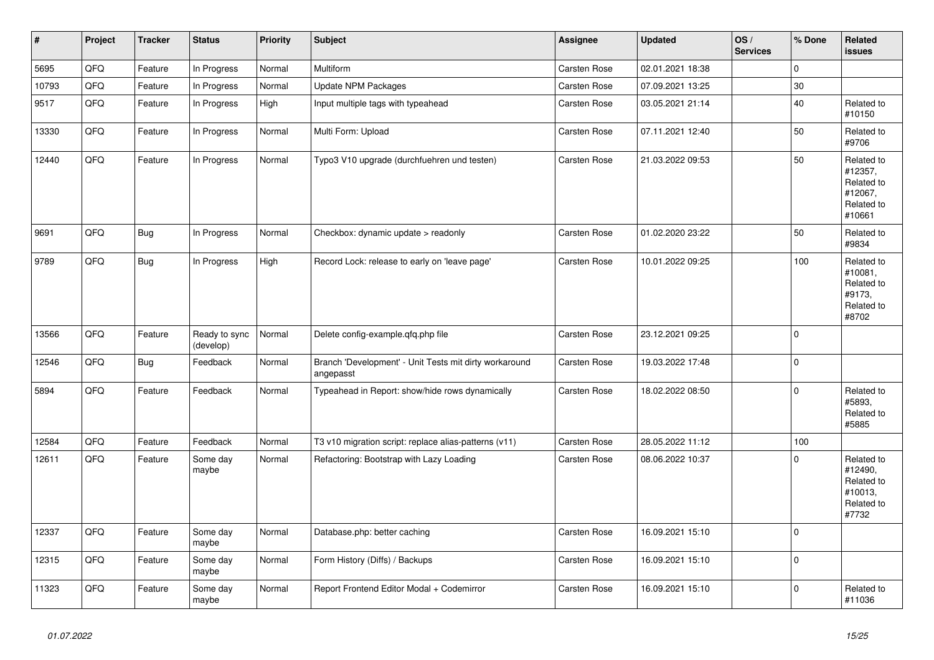| #     | Project | <b>Tracker</b> | <b>Status</b>              | <b>Priority</b> | <b>Subject</b>                                                      | Assignee     | <b>Updated</b>   | OS/<br><b>Services</b> | % Done      | Related<br><b>issues</b>                                               |
|-------|---------|----------------|----------------------------|-----------------|---------------------------------------------------------------------|--------------|------------------|------------------------|-------------|------------------------------------------------------------------------|
| 5695  | QFQ     | Feature        | In Progress                | Normal          | Multiform                                                           | Carsten Rose | 02.01.2021 18:38 |                        | $\Omega$    |                                                                        |
| 10793 | QFQ     | Feature        | In Progress                | Normal          | <b>Update NPM Packages</b>                                          | Carsten Rose | 07.09.2021 13:25 |                        | $30\,$      |                                                                        |
| 9517  | QFQ     | Feature        | In Progress                | High            | Input multiple tags with typeahead                                  | Carsten Rose | 03.05.2021 21:14 |                        | 40          | Related to<br>#10150                                                   |
| 13330 | QFQ     | Feature        | In Progress                | Normal          | Multi Form: Upload                                                  | Carsten Rose | 07.11.2021 12:40 |                        | 50          | Related to<br>#9706                                                    |
| 12440 | QFQ     | Feature        | In Progress                | Normal          | Typo3 V10 upgrade (durchfuehren und testen)                         | Carsten Rose | 21.03.2022 09:53 |                        | 50          | Related to<br>#12357,<br>Related to<br>#12067,<br>Related to<br>#10661 |
| 9691  | QFQ     | <b>Bug</b>     | In Progress                | Normal          | Checkbox: dynamic update > readonly                                 | Carsten Rose | 01.02.2020 23:22 |                        | 50          | Related to<br>#9834                                                    |
| 9789  | QFQ     | <b>Bug</b>     | In Progress                | High            | Record Lock: release to early on 'leave page'                       | Carsten Rose | 10.01.2022 09:25 |                        | 100         | Related to<br>#10081,<br>Related to<br>#9173,<br>Related to<br>#8702   |
| 13566 | QFQ     | Feature        | Ready to sync<br>(develop) | Normal          | Delete config-example.qfq.php file                                  | Carsten Rose | 23.12.2021 09:25 |                        | $\Omega$    |                                                                        |
| 12546 | QFQ     | <b>Bug</b>     | Feedback                   | Normal          | Branch 'Development' - Unit Tests mit dirty workaround<br>angepasst | Carsten Rose | 19.03.2022 17:48 |                        | $\Omega$    |                                                                        |
| 5894  | QFQ     | Feature        | Feedback                   | Normal          | Typeahead in Report: show/hide rows dynamically                     | Carsten Rose | 18.02.2022 08:50 |                        | $\mathbf 0$ | Related to<br>#5893,<br>Related to<br>#5885                            |
| 12584 | QFQ     | Feature        | Feedback                   | Normal          | T3 v10 migration script: replace alias-patterns (v11)               | Carsten Rose | 28.05.2022 11:12 |                        | 100         |                                                                        |
| 12611 | QFQ     | Feature        | Some day<br>maybe          | Normal          | Refactoring: Bootstrap with Lazy Loading                            | Carsten Rose | 08.06.2022 10:37 |                        | $\Omega$    | Related to<br>#12490,<br>Related to<br>#10013,<br>Related to<br>#7732  |
| 12337 | QFQ     | Feature        | Some day<br>maybe          | Normal          | Database.php: better caching                                        | Carsten Rose | 16.09.2021 15:10 |                        | $\Omega$    |                                                                        |
| 12315 | QFQ     | Feature        | Some day<br>maybe          | Normal          | Form History (Diffs) / Backups                                      | Carsten Rose | 16.09.2021 15:10 |                        | $\mathbf 0$ |                                                                        |
| 11323 | QFQ     | Feature        | Some day<br>maybe          | Normal          | Report Frontend Editor Modal + Codemirror                           | Carsten Rose | 16.09.2021 15:10 |                        | $\Omega$    | Related to<br>#11036                                                   |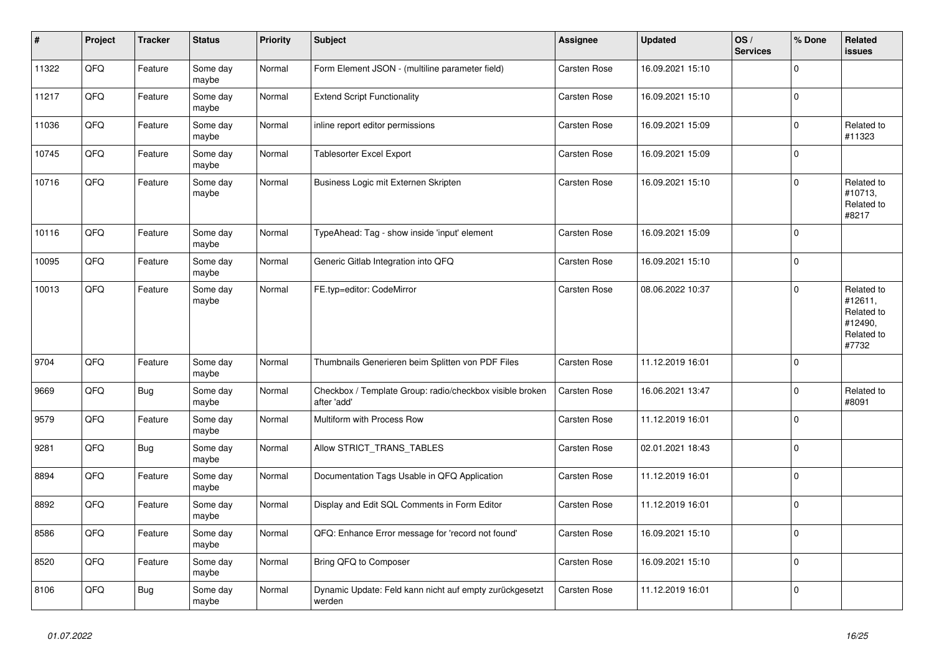| $\sharp$ | Project | <b>Tracker</b> | <b>Status</b>     | <b>Priority</b> | <b>Subject</b>                                                          | Assignee            | <b>Updated</b>   | OS/<br><b>Services</b> | % Done      | Related<br><b>issues</b>                                              |
|----------|---------|----------------|-------------------|-----------------|-------------------------------------------------------------------------|---------------------|------------------|------------------------|-------------|-----------------------------------------------------------------------|
| 11322    | QFQ     | Feature        | Some day<br>maybe | Normal          | Form Element JSON - (multiline parameter field)                         | <b>Carsten Rose</b> | 16.09.2021 15:10 |                        | $\Omega$    |                                                                       |
| 11217    | QFG     | Feature        | Some day<br>maybe | Normal          | <b>Extend Script Functionality</b>                                      | <b>Carsten Rose</b> | 16.09.2021 15:10 |                        | $\mathbf 0$ |                                                                       |
| 11036    | QFQ     | Feature        | Some day<br>maybe | Normal          | inline report editor permissions                                        | <b>Carsten Rose</b> | 16.09.2021 15:09 |                        | $\Omega$    | Related to<br>#11323                                                  |
| 10745    | QFQ     | Feature        | Some day<br>maybe | Normal          | Tablesorter Excel Export                                                | Carsten Rose        | 16.09.2021 15:09 |                        | $\mathbf 0$ |                                                                       |
| 10716    | QFQ     | Feature        | Some day<br>maybe | Normal          | Business Logic mit Externen Skripten                                    | Carsten Rose        | 16.09.2021 15:10 |                        | $\mathbf 0$ | Related to<br>#10713,<br>Related to<br>#8217                          |
| 10116    | QFQ     | Feature        | Some day<br>maybe | Normal          | TypeAhead: Tag - show inside 'input' element                            | Carsten Rose        | 16.09.2021 15:09 |                        | $\Omega$    |                                                                       |
| 10095    | QFQ     | Feature        | Some day<br>maybe | Normal          | Generic Gitlab Integration into QFQ                                     | <b>Carsten Rose</b> | 16.09.2021 15:10 |                        | $\mathbf 0$ |                                                                       |
| 10013    | QFQ     | Feature        | Some day<br>maybe | Normal          | FE.typ=editor: CodeMirror                                               | Carsten Rose        | 08.06.2022 10:37 |                        | $\Omega$    | Related to<br>#12611,<br>Related to<br>#12490,<br>Related to<br>#7732 |
| 9704     | QFQ     | Feature        | Some day<br>maybe | Normal          | Thumbnails Generieren beim Splitten von PDF Files                       | <b>Carsten Rose</b> | 11.12.2019 16:01 |                        | $\mathbf 0$ |                                                                       |
| 9669     | QFQ     | Bug            | Some day<br>maybe | Normal          | Checkbox / Template Group: radio/checkbox visible broken<br>after 'add' | <b>Carsten Rose</b> | 16.06.2021 13:47 |                        | $\mathbf 0$ | Related to<br>#8091                                                   |
| 9579     | QFQ     | Feature        | Some day<br>maybe | Normal          | Multiform with Process Row                                              | Carsten Rose        | 11.12.2019 16:01 |                        | $\mathbf 0$ |                                                                       |
| 9281     | QFQ     | <b>Bug</b>     | Some day<br>maybe | Normal          | Allow STRICT_TRANS_TABLES                                               | Carsten Rose        | 02.01.2021 18:43 |                        | $\mathbf 0$ |                                                                       |
| 8894     | QFQ     | Feature        | Some day<br>maybe | Normal          | Documentation Tags Usable in QFQ Application                            | Carsten Rose        | 11.12.2019 16:01 |                        | $\mathbf 0$ |                                                                       |
| 8892     | QFQ     | Feature        | Some day<br>maybe | Normal          | Display and Edit SQL Comments in Form Editor                            | Carsten Rose        | 11.12.2019 16:01 |                        | $\mathbf 0$ |                                                                       |
| 8586     | QFQ     | Feature        | Some day<br>maybe | Normal          | QFQ: Enhance Error message for 'record not found'                       | Carsten Rose        | 16.09.2021 15:10 |                        | $\mathbf 0$ |                                                                       |
| 8520     | QFQ     | Feature        | Some day<br>maybe | Normal          | Bring QFQ to Composer                                                   | Carsten Rose        | 16.09.2021 15:10 |                        | $\Omega$    |                                                                       |
| 8106     | QFQ     | <b>Bug</b>     | Some day<br>maybe | Normal          | Dynamic Update: Feld kann nicht auf empty zurückgesetzt<br>werden       | <b>Carsten Rose</b> | 11.12.2019 16:01 |                        | $\mathbf 0$ |                                                                       |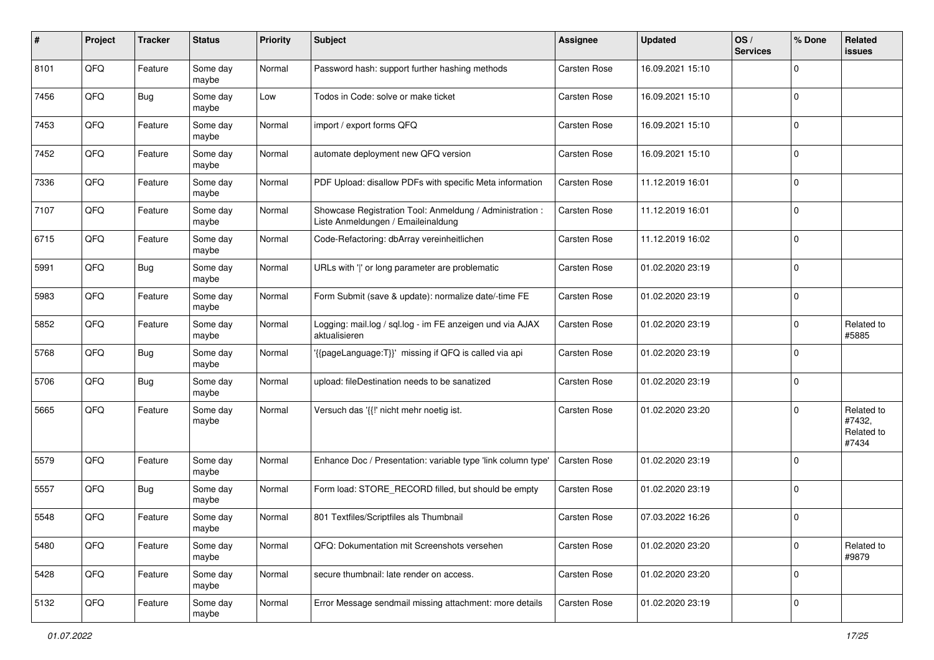| #    | Project | <b>Tracker</b> | <b>Status</b>     | <b>Priority</b> | <b>Subject</b>                                                                                 | <b>Assignee</b>     | <b>Updated</b>   | OS/<br><b>Services</b> | % Done      | Related<br>issues                           |
|------|---------|----------------|-------------------|-----------------|------------------------------------------------------------------------------------------------|---------------------|------------------|------------------------|-------------|---------------------------------------------|
| 8101 | QFQ     | Feature        | Some day<br>maybe | Normal          | Password hash: support further hashing methods                                                 | Carsten Rose        | 16.09.2021 15:10 |                        | $\Omega$    |                                             |
| 7456 | QFQ     | <b>Bug</b>     | Some day<br>maybe | Low             | Todos in Code: solve or make ticket                                                            | Carsten Rose        | 16.09.2021 15:10 |                        | $\mathbf 0$ |                                             |
| 7453 | QFQ     | Feature        | Some day<br>maybe | Normal          | import / export forms QFQ                                                                      | Carsten Rose        | 16.09.2021 15:10 |                        | $\Omega$    |                                             |
| 7452 | QFQ     | Feature        | Some day<br>maybe | Normal          | automate deployment new QFQ version                                                            | Carsten Rose        | 16.09.2021 15:10 |                        | $\Omega$    |                                             |
| 7336 | QFQ     | Feature        | Some day<br>maybe | Normal          | PDF Upload: disallow PDFs with specific Meta information                                       | <b>Carsten Rose</b> | 11.12.2019 16:01 |                        | $\Omega$    |                                             |
| 7107 | QFQ     | Feature        | Some day<br>maybe | Normal          | Showcase Registration Tool: Anmeldung / Administration :<br>Liste Anmeldungen / Emaileinaldung | Carsten Rose        | 11.12.2019 16:01 |                        | $\Omega$    |                                             |
| 6715 | QFQ     | Feature        | Some day<br>maybe | Normal          | Code-Refactoring: dbArray vereinheitlichen                                                     | Carsten Rose        | 11.12.2019 16:02 |                        | $\Omega$    |                                             |
| 5991 | QFQ     | <b>Bug</b>     | Some day<br>maybe | Normal          | URLs with ' ' or long parameter are problematic                                                | Carsten Rose        | 01.02.2020 23:19 |                        | $\Omega$    |                                             |
| 5983 | QFQ     | Feature        | Some day<br>maybe | Normal          | Form Submit (save & update): normalize date/-time FE                                           | Carsten Rose        | 01.02.2020 23:19 |                        | $\mathbf 0$ |                                             |
| 5852 | QFQ     | Feature        | Some day<br>maybe | Normal          | Logging: mail.log / sgl.log - im FE anzeigen und via AJAX<br>aktualisieren                     | Carsten Rose        | 01.02.2020 23:19 |                        | $\Omega$    | Related to<br>#5885                         |
| 5768 | QFQ     | <b>Bug</b>     | Some day<br>maybe | Normal          | '{{pageLanguage:T}}' missing if QFQ is called via api                                          | Carsten Rose        | 01.02.2020 23:19 |                        | $\Omega$    |                                             |
| 5706 | QFQ     | <b>Bug</b>     | Some day<br>maybe | Normal          | upload: fileDestination needs to be sanatized                                                  | Carsten Rose        | 01.02.2020 23:19 |                        | $\Omega$    |                                             |
| 5665 | QFQ     | Feature        | Some day<br>maybe | Normal          | Versuch das '{{!' nicht mehr noetig ist.                                                       | Carsten Rose        | 01.02.2020 23:20 |                        | $\Omega$    | Related to<br>#7432,<br>Related to<br>#7434 |
| 5579 | QFQ     | Feature        | Some day<br>maybe | Normal          | Enhance Doc / Presentation: variable type 'link column type'                                   | Carsten Rose        | 01.02.2020 23:19 |                        | $\Omega$    |                                             |
| 5557 | QFQ     | <b>Bug</b>     | Some day<br>maybe | Normal          | Form load: STORE_RECORD filled, but should be empty                                            | Carsten Rose        | 01.02.2020 23:19 |                        | $\Omega$    |                                             |
| 5548 | QFQ     | Feature        | Some day<br>maybe | Normal          | 801 Textfiles/Scriptfiles als Thumbnail                                                        | Carsten Rose        | 07.03.2022 16:26 |                        | $\Omega$    |                                             |
| 5480 | QFQ     | Feature        | Some day<br>maybe | Normal          | QFQ: Dokumentation mit Screenshots versehen                                                    | Carsten Rose        | 01.02.2020 23:20 |                        | 0           | Related to<br>#9879                         |
| 5428 | QFQ     | Feature        | Some day<br>maybe | Normal          | secure thumbnail: late render on access.                                                       | Carsten Rose        | 01.02.2020 23:20 |                        | $\mathbf 0$ |                                             |
| 5132 | QFG     | Feature        | Some day<br>maybe | Normal          | Error Message sendmail missing attachment: more details                                        | Carsten Rose        | 01.02.2020 23:19 |                        | $\mathbf 0$ |                                             |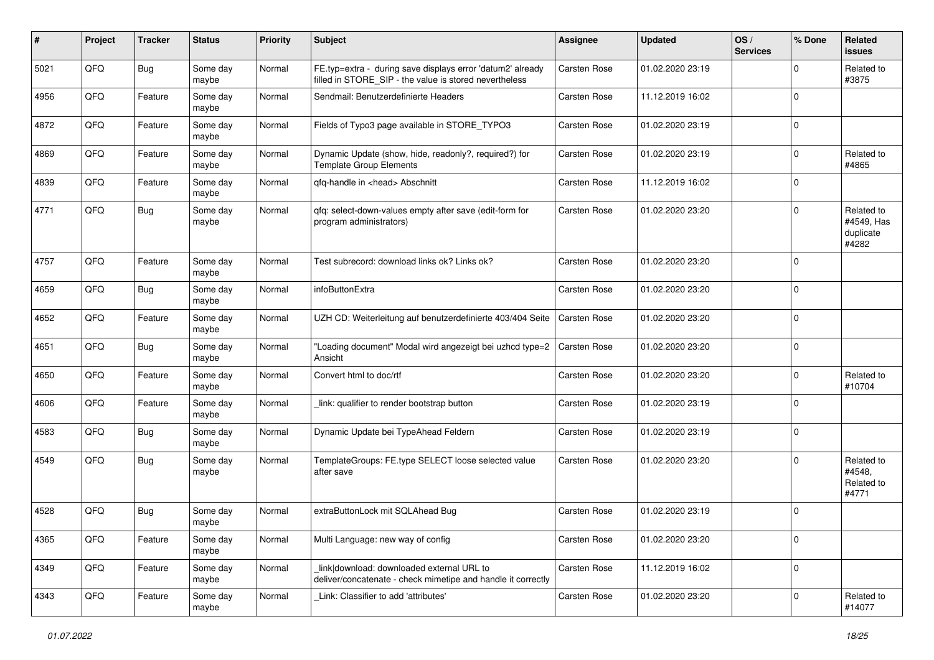| #    | Project | <b>Tracker</b> | <b>Status</b>     | <b>Priority</b> | Subject                                                                                                              | <b>Assignee</b>     | <b>Updated</b>   | OS/<br><b>Services</b> | % Done      | Related<br><b>issues</b>                       |
|------|---------|----------------|-------------------|-----------------|----------------------------------------------------------------------------------------------------------------------|---------------------|------------------|------------------------|-------------|------------------------------------------------|
| 5021 | QFQ     | Bug            | Some day<br>maybe | Normal          | FE.typ=extra - during save displays error 'datum2' already<br>filled in STORE_SIP - the value is stored nevertheless | <b>Carsten Rose</b> | 01.02.2020 23:19 |                        | $\Omega$    | Related to<br>#3875                            |
| 4956 | QFQ     | Feature        | Some day<br>maybe | Normal          | Sendmail: Benutzerdefinierte Headers                                                                                 | Carsten Rose        | 11.12.2019 16:02 |                        | $\mathbf 0$ |                                                |
| 4872 | QFQ     | Feature        | Some day<br>maybe | Normal          | Fields of Typo3 page available in STORE_TYPO3                                                                        | <b>Carsten Rose</b> | 01.02.2020 23:19 |                        | $\mathbf 0$ |                                                |
| 4869 | QFQ     | Feature        | Some day<br>maybe | Normal          | Dynamic Update (show, hide, readonly?, required?) for<br><b>Template Group Elements</b>                              | <b>Carsten Rose</b> | 01.02.2020 23:19 |                        | $\mathbf 0$ | Related to<br>#4865                            |
| 4839 | QFQ     | Feature        | Some day<br>maybe | Normal          | qfq-handle in <head> Abschnitt</head>                                                                                | Carsten Rose        | 11.12.2019 16:02 |                        | $\mathbf 0$ |                                                |
| 4771 | QFQ     | Bug            | Some day<br>maybe | Normal          | qfq: select-down-values empty after save (edit-form for<br>program administrators)                                   | Carsten Rose        | 01.02.2020 23:20 |                        | $\Omega$    | Related to<br>#4549, Has<br>duplicate<br>#4282 |
| 4757 | QFQ     | Feature        | Some day<br>maybe | Normal          | Test subrecord: download links ok? Links ok?                                                                         | Carsten Rose        | 01.02.2020 23:20 |                        | $\mathbf 0$ |                                                |
| 4659 | QFQ     | Bug            | Some day<br>maybe | Normal          | infoButtonExtra                                                                                                      | Carsten Rose        | 01.02.2020 23:20 |                        | $\mathbf 0$ |                                                |
| 4652 | QFQ     | Feature        | Some day<br>maybe | Normal          | UZH CD: Weiterleitung auf benutzerdefinierte 403/404 Seite                                                           | Carsten Rose        | 01.02.2020 23:20 |                        | $\mathbf 0$ |                                                |
| 4651 | QFQ     | Bug            | Some day<br>maybe | Normal          | "Loading document" Modal wird angezeigt bei uzhcd type=2<br>Ansicht                                                  | Carsten Rose        | 01.02.2020 23:20 |                        | $\mathbf 0$ |                                                |
| 4650 | QFQ     | Feature        | Some day<br>maybe | Normal          | Convert html to doc/rtf                                                                                              | Carsten Rose        | 01.02.2020 23:20 |                        | $\mathbf 0$ | Related to<br>#10704                           |
| 4606 | QFQ     | Feature        | Some day<br>maybe | Normal          | link: qualifier to render bootstrap button                                                                           | Carsten Rose        | 01.02.2020 23:19 |                        | $\Omega$    |                                                |
| 4583 | QFQ     | Bug            | Some day<br>maybe | Normal          | Dynamic Update bei TypeAhead Feldern                                                                                 | Carsten Rose        | 01.02.2020 23:19 |                        | $\mathbf 0$ |                                                |
| 4549 | QFQ     | Bug            | Some day<br>maybe | Normal          | TemplateGroups: FE.type SELECT loose selected value<br>after save                                                    | <b>Carsten Rose</b> | 01.02.2020 23:20 |                        | $\Omega$    | Related to<br>#4548.<br>Related to<br>#4771    |
| 4528 | QFQ     | <b>Bug</b>     | Some day<br>maybe | Normal          | extraButtonLock mit SQLAhead Bug                                                                                     | Carsten Rose        | 01.02.2020 23:19 |                        | $\mathbf 0$ |                                                |
| 4365 | QFQ     | Feature        | Some day<br>maybe | Normal          | Multi Language: new way of config                                                                                    | Carsten Rose        | 01.02.2020 23:20 |                        | $\mathbf 0$ |                                                |
| 4349 | QFQ     | Feature        | Some day<br>maybe | Normal          | link download: downloaded external URL to<br>deliver/concatenate - check mimetipe and handle it correctly            | Carsten Rose        | 11.12.2019 16:02 |                        | $\mathbf 0$ |                                                |
| 4343 | QFQ     | Feature        | Some day<br>maybe | Normal          | Link: Classifier to add 'attributes'                                                                                 | Carsten Rose        | 01.02.2020 23:20 |                        | $\mathbf 0$ | Related to<br>#14077                           |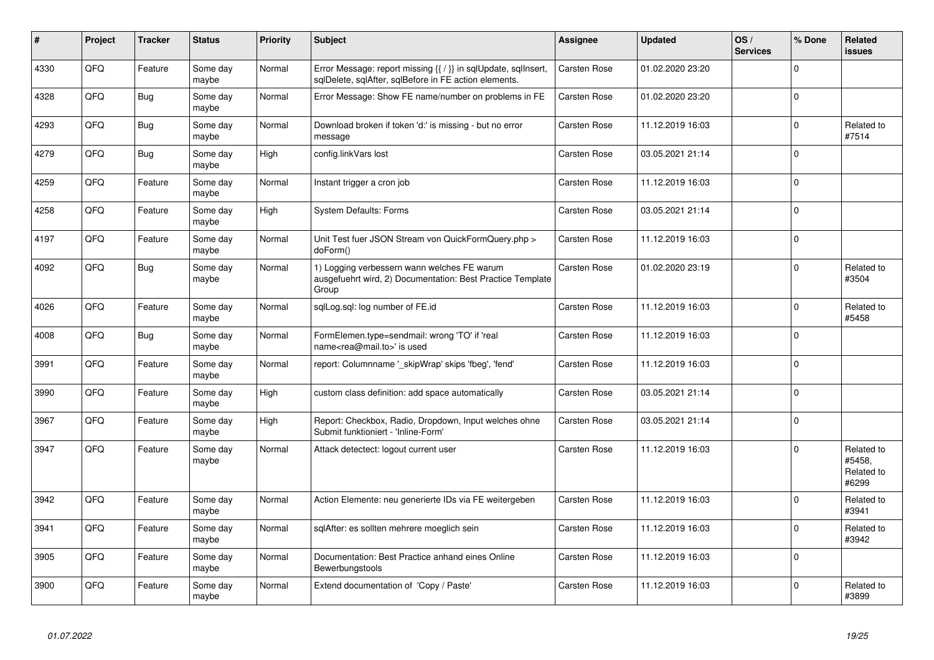| #    | Project | <b>Tracker</b> | <b>Status</b>     | <b>Priority</b> | <b>Subject</b>                                                                                                          | Assignee            | <b>Updated</b>   | OS/<br><b>Services</b> | % Done   | Related<br><b>issues</b>                    |
|------|---------|----------------|-------------------|-----------------|-------------------------------------------------------------------------------------------------------------------------|---------------------|------------------|------------------------|----------|---------------------------------------------|
| 4330 | QFQ     | Feature        | Some day<br>maybe | Normal          | Error Message: report missing {{ / }} in sqlUpdate, sqlInsert,<br>sqlDelete, sqlAfter, sqlBefore in FE action elements. | <b>Carsten Rose</b> | 01.02.2020 23:20 |                        | $\Omega$ |                                             |
| 4328 | QFQ     | <b>Bug</b>     | Some day<br>maybe | Normal          | Error Message: Show FE name/number on problems in FE                                                                    | Carsten Rose        | 01.02.2020 23:20 |                        | $\Omega$ |                                             |
| 4293 | QFQ     | <b>Bug</b>     | Some day<br>maybe | Normal          | Download broken if token 'd:' is missing - but no error<br>message                                                      | Carsten Rose        | 11.12.2019 16:03 |                        | $\Omega$ | Related to<br>#7514                         |
| 4279 | QFQ     | <b>Bug</b>     | Some day<br>maybe | High            | config.linkVars lost                                                                                                    | Carsten Rose        | 03.05.2021 21:14 |                        | $\Omega$ |                                             |
| 4259 | QFQ     | Feature        | Some day<br>maybe | Normal          | Instant trigger a cron job                                                                                              | Carsten Rose        | 11.12.2019 16:03 |                        | $\Omega$ |                                             |
| 4258 | QFQ     | Feature        | Some day<br>maybe | High            | <b>System Defaults: Forms</b>                                                                                           | Carsten Rose        | 03.05.2021 21:14 |                        | $\Omega$ |                                             |
| 4197 | QFQ     | Feature        | Some day<br>maybe | Normal          | Unit Test fuer JSON Stream von QuickFormQuery.php ><br>doForm()                                                         | Carsten Rose        | 11.12.2019 16:03 |                        | $\Omega$ |                                             |
| 4092 | QFQ     | <b>Bug</b>     | Some day<br>maybe | Normal          | 1) Logging verbessern wann welches FE warum<br>ausgefuehrt wird, 2) Documentation: Best Practice Template<br>Group      | Carsten Rose        | 01.02.2020 23:19 |                        | $\Omega$ | Related to<br>#3504                         |
| 4026 | QFQ     | Feature        | Some day<br>maybe | Normal          | sglLog.sgl: log number of FE.id                                                                                         | <b>Carsten Rose</b> | 11.12.2019 16:03 |                        | $\Omega$ | Related to<br>#5458                         |
| 4008 | QFQ     | Bug            | Some day<br>maybe | Normal          | FormElemen.type=sendmail: wrong 'TO' if 'real<br>name <rea@mail.to>' is used</rea@mail.to>                              | Carsten Rose        | 11.12.2019 16:03 |                        | $\Omega$ |                                             |
| 3991 | QFQ     | Feature        | Some day<br>maybe | Normal          | report: Columnname ' skipWrap' skips 'fbeg', 'fend'                                                                     | Carsten Rose        | 11.12.2019 16:03 |                        | $\Omega$ |                                             |
| 3990 | QFQ     | Feature        | Some day<br>maybe | High            | custom class definition: add space automatically                                                                        | <b>Carsten Rose</b> | 03.05.2021 21:14 |                        | $\Omega$ |                                             |
| 3967 | QFQ     | Feature        | Some day<br>maybe | High            | Report: Checkbox, Radio, Dropdown, Input welches ohne<br>Submit funktioniert - 'Inline-Form'                            | <b>Carsten Rose</b> | 03.05.2021 21:14 |                        | $\Omega$ |                                             |
| 3947 | QFQ     | Feature        | Some day<br>maybe | Normal          | Attack detectect: logout current user                                                                                   | Carsten Rose        | 11.12.2019 16:03 |                        | $\Omega$ | Related to<br>#5458,<br>Related to<br>#6299 |
| 3942 | QFQ     | Feature        | Some day<br>maybe | Normal          | Action Elemente: neu generierte IDs via FE weitergeben                                                                  | <b>Carsten Rose</b> | 11.12.2019 16:03 |                        | $\Omega$ | Related to<br>#3941                         |
| 3941 | QFQ     | Feature        | Some day<br>maybe | Normal          | sqlAfter: es sollten mehrere moeglich sein                                                                              | Carsten Rose        | 11.12.2019 16:03 |                        | $\Omega$ | Related to<br>#3942                         |
| 3905 | QFQ     | Feature        | Some day<br>maybe | Normal          | Documentation: Best Practice anhand eines Online<br>Bewerbungstools                                                     | Carsten Rose        | 11.12.2019 16:03 |                        | $\Omega$ |                                             |
| 3900 | QFQ     | Feature        | Some day<br>maybe | Normal          | Extend documentation of 'Copy / Paste'                                                                                  | <b>Carsten Rose</b> | 11.12.2019 16:03 |                        | $\Omega$ | Related to<br>#3899                         |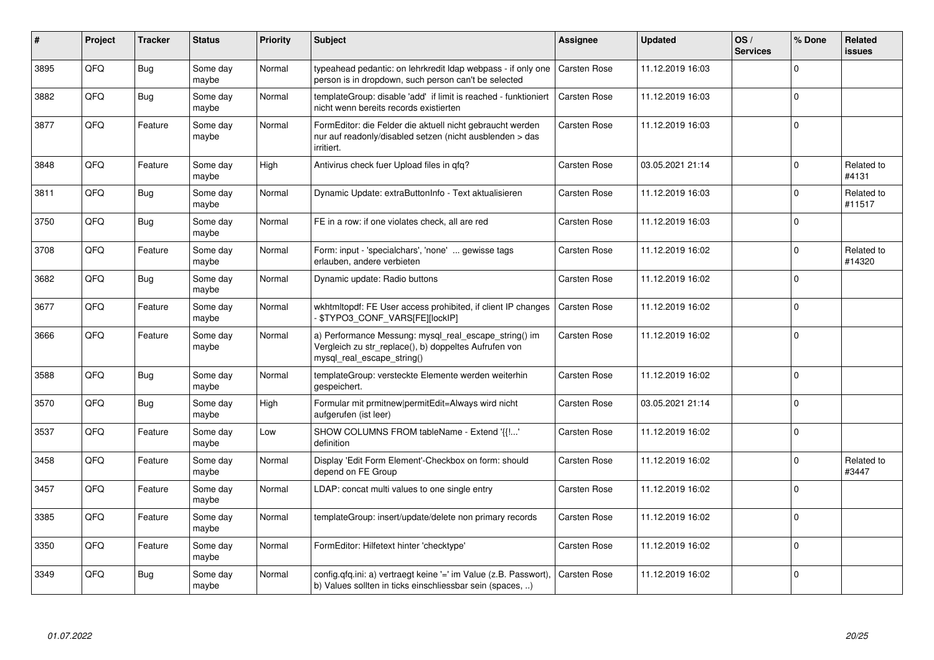| ∦    | Project | <b>Tracker</b> | <b>Status</b>     | <b>Priority</b> | <b>Subject</b>                                                                                                                               | Assignee            | <b>Updated</b>   | OS/<br><b>Services</b> | % Done      | Related<br>issues    |
|------|---------|----------------|-------------------|-----------------|----------------------------------------------------------------------------------------------------------------------------------------------|---------------------|------------------|------------------------|-------------|----------------------|
| 3895 | QFQ     | <b>Bug</b>     | Some day<br>maybe | Normal          | typeahead pedantic: on lehrkredit Idap webpass - if only one<br>person is in dropdown, such person can't be selected                         | <b>Carsten Rose</b> | 11.12.2019 16:03 |                        | $\Omega$    |                      |
| 3882 | QFQ     | <b>Bug</b>     | Some day<br>maybe | Normal          | templateGroup: disable 'add' if limit is reached - funktioniert<br>nicht wenn bereits records existierten                                    | Carsten Rose        | 11.12.2019 16:03 |                        | $\mathbf 0$ |                      |
| 3877 | QFQ     | Feature        | Some day<br>maybe | Normal          | FormEditor: die Felder die aktuell nicht gebraucht werden<br>nur auf readonly/disabled setzen (nicht ausblenden > das<br>irritiert.          | Carsten Rose        | 11.12.2019 16:03 |                        | 0           |                      |
| 3848 | QFQ     | Feature        | Some day<br>maybe | High            | Antivirus check fuer Upload files in qfq?                                                                                                    | Carsten Rose        | 03.05.2021 21:14 |                        | $\mathbf 0$ | Related to<br>#4131  |
| 3811 | QFQ     | Bug            | Some day<br>maybe | Normal          | Dynamic Update: extraButtonInfo - Text aktualisieren                                                                                         | Carsten Rose        | 11.12.2019 16:03 |                        | 0           | Related to<br>#11517 |
| 3750 | QFQ     | Bug            | Some day<br>maybe | Normal          | FE in a row: if one violates check, all are red                                                                                              | Carsten Rose        | 11.12.2019 16:03 |                        | 0           |                      |
| 3708 | QFQ     | Feature        | Some day<br>maybe | Normal          | Form: input - 'specialchars', 'none'  gewisse tags<br>erlauben, andere verbieten                                                             | Carsten Rose        | 11.12.2019 16:02 |                        | 0           | Related to<br>#14320 |
| 3682 | QFQ     | Bug            | Some day<br>maybe | Normal          | Dynamic update: Radio buttons                                                                                                                | Carsten Rose        | 11.12.2019 16:02 |                        | $\Omega$    |                      |
| 3677 | QFQ     | Feature        | Some day<br>maybe | Normal          | wkhtmltopdf: FE User access prohibited, if client IP changes<br>\$TYPO3_CONF_VARS[FE][lockIP]                                                | Carsten Rose        | 11.12.2019 16:02 |                        | 0           |                      |
| 3666 | QFQ     | Feature        | Some day<br>maybe | Normal          | a) Performance Messung: mysql_real_escape_string() im<br>Vergleich zu str_replace(), b) doppeltes Aufrufen von<br>mysql_real_escape_string() | Carsten Rose        | 11.12.2019 16:02 |                        | $\mathbf 0$ |                      |
| 3588 | QFQ     | Bug            | Some day<br>maybe | Normal          | templateGroup: versteckte Elemente werden weiterhin<br>gespeichert.                                                                          | Carsten Rose        | 11.12.2019 16:02 |                        | $\Omega$    |                      |
| 3570 | QFQ     | <b>Bug</b>     | Some day<br>maybe | High            | Formular mit prmitnew permitEdit=Always wird nicht<br>aufgerufen (ist leer)                                                                  | Carsten Rose        | 03.05.2021 21:14 |                        | $\Omega$    |                      |
| 3537 | QFQ     | Feature        | Some day<br>maybe | Low             | SHOW COLUMNS FROM tableName - Extend '{{!'<br>definition                                                                                     | Carsten Rose        | 11.12.2019 16:02 |                        | 0           |                      |
| 3458 | QFQ     | Feature        | Some day<br>maybe | Normal          | Display 'Edit Form Element'-Checkbox on form: should<br>depend on FE Group                                                                   | Carsten Rose        | 11.12.2019 16:02 |                        | $\mathbf 0$ | Related to<br>#3447  |
| 3457 | QFQ     | Feature        | Some day<br>maybe | Normal          | LDAP: concat multi values to one single entry                                                                                                | Carsten Rose        | 11.12.2019 16:02 |                        | $\Omega$    |                      |
| 3385 | QFQ     | Feature        | Some day<br>maybe | Normal          | templateGroup: insert/update/delete non primary records                                                                                      | Carsten Rose        | 11.12.2019 16:02 |                        | $\Omega$    |                      |
| 3350 | QFQ     | Feature        | Some day<br>maybe | Normal          | FormEditor: Hilfetext hinter 'checktype'                                                                                                     | Carsten Rose        | 11.12.2019 16:02 |                        | $\mathbf 0$ |                      |
| 3349 | QFQ     | Bug            | Some day<br>maybe | Normal          | config.qfq.ini: a) vertraegt keine '=' im Value (z.B. Passwort),<br>b) Values sollten in ticks einschliessbar sein (spaces, )                | Carsten Rose        | 11.12.2019 16:02 |                        | $\mathbf 0$ |                      |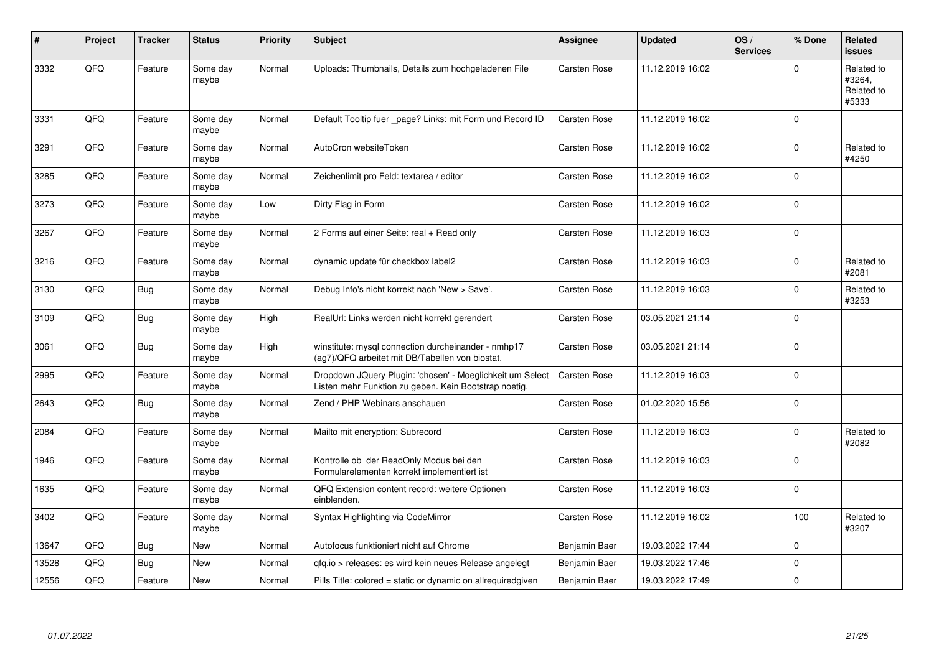| #     | Project | <b>Tracker</b> | <b>Status</b>     | <b>Priority</b> | <b>Subject</b>                                                                                                     | <b>Assignee</b>     | <b>Updated</b>   | OS/<br><b>Services</b> | % Done      | Related<br>issues                           |
|-------|---------|----------------|-------------------|-----------------|--------------------------------------------------------------------------------------------------------------------|---------------------|------------------|------------------------|-------------|---------------------------------------------|
| 3332  | QFQ     | Feature        | Some day<br>maybe | Normal          | Uploads: Thumbnails, Details zum hochgeladenen File                                                                | Carsten Rose        | 11.12.2019 16:02 |                        | $\Omega$    | Related to<br>#3264.<br>Related to<br>#5333 |
| 3331  | QFQ     | Feature        | Some day<br>maybe | Normal          | Default Tooltip fuer page? Links: mit Form und Record ID                                                           | <b>Carsten Rose</b> | 11.12.2019 16:02 |                        | $\mathbf 0$ |                                             |
| 3291  | QFQ     | Feature        | Some day<br>maybe | Normal          | AutoCron websiteToken                                                                                              | <b>Carsten Rose</b> | 11.12.2019 16:02 |                        | $\Omega$    | Related to<br>#4250                         |
| 3285  | QFQ     | Feature        | Some day<br>maybe | Normal          | Zeichenlimit pro Feld: textarea / editor                                                                           | Carsten Rose        | 11.12.2019 16:02 |                        | $\mathbf 0$ |                                             |
| 3273  | QFQ     | Feature        | Some day<br>maybe | Low             | Dirty Flag in Form                                                                                                 | Carsten Rose        | 11.12.2019 16:02 |                        | $\Omega$    |                                             |
| 3267  | QFQ     | Feature        | Some day<br>maybe | Normal          | 2 Forms auf einer Seite: real + Read only                                                                          | Carsten Rose        | 11.12.2019 16:03 |                        | $\mathbf 0$ |                                             |
| 3216  | QFQ     | Feature        | Some day<br>maybe | Normal          | dynamic update für checkbox label2                                                                                 | Carsten Rose        | 11.12.2019 16:03 |                        | $\Omega$    | Related to<br>#2081                         |
| 3130  | QFQ     | <b>Bug</b>     | Some day<br>maybe | Normal          | Debug Info's nicht korrekt nach 'New > Save'.                                                                      | <b>Carsten Rose</b> | 11.12.2019 16:03 |                        | $\mathbf 0$ | Related to<br>#3253                         |
| 3109  | QFQ     | <b>Bug</b>     | Some day<br>maybe | High            | RealUrl: Links werden nicht korrekt gerendert                                                                      | <b>Carsten Rose</b> | 03.05.2021 21:14 |                        | $\Omega$    |                                             |
| 3061  | QFQ     | <b>Bug</b>     | Some day<br>maybe | High            | winstitute: mysql connection durcheinander - nmhp17<br>(ag7)/QFQ arbeitet mit DB/Tabellen von biostat.             | Carsten Rose        | 03.05.2021 21:14 |                        | $\mathbf 0$ |                                             |
| 2995  | QFQ     | Feature        | Some day<br>maybe | Normal          | Dropdown JQuery Plugin: 'chosen' - Moeglichkeit um Select<br>Listen mehr Funktion zu geben. Kein Bootstrap noetig. | Carsten Rose        | 11.12.2019 16:03 |                        | $\mathbf 0$ |                                             |
| 2643  | QFQ     | Bug            | Some day<br>maybe | Normal          | Zend / PHP Webinars anschauen                                                                                      | Carsten Rose        | 01.02.2020 15:56 |                        | $\mathbf 0$ |                                             |
| 2084  | QFQ     | Feature        | Some day<br>maybe | Normal          | Mailto mit encryption: Subrecord                                                                                   | Carsten Rose        | 11.12.2019 16:03 |                        | $\mathbf 0$ | Related to<br>#2082                         |
| 1946  | QFQ     | Feature        | Some day<br>maybe | Normal          | Kontrolle ob der ReadOnly Modus bei den<br>Formularelementen korrekt implementiert ist                             | <b>Carsten Rose</b> | 11.12.2019 16:03 |                        | $\mathbf 0$ |                                             |
| 1635  | QFQ     | Feature        | Some day<br>maybe | Normal          | QFQ Extension content record: weitere Optionen<br>einblenden.                                                      | <b>Carsten Rose</b> | 11.12.2019 16:03 |                        | $\pmb{0}$   |                                             |
| 3402  | QFQ     | Feature        | Some day<br>maybe | Normal          | Syntax Highlighting via CodeMirror                                                                                 | Carsten Rose        | 11.12.2019 16:02 |                        | 100         | Related to<br>#3207                         |
| 13647 | QFQ     | Bug            | <b>New</b>        | Normal          | Autofocus funktioniert nicht auf Chrome                                                                            | Benjamin Baer       | 19.03.2022 17:44 |                        | $\mathbf 0$ |                                             |
| 13528 | QFQ     | Bug            | New               | Normal          | gfg.io > releases: es wird kein neues Release angelegt                                                             | Benjamin Baer       | 19.03.2022 17:46 |                        | $\mathbf 0$ |                                             |
| 12556 | QFQ     | Feature        | <b>New</b>        | Normal          | Pills Title: colored = static or dynamic on allrequiredgiven                                                       | Benjamin Baer       | 19.03.2022 17:49 |                        | $\mathbf 0$ |                                             |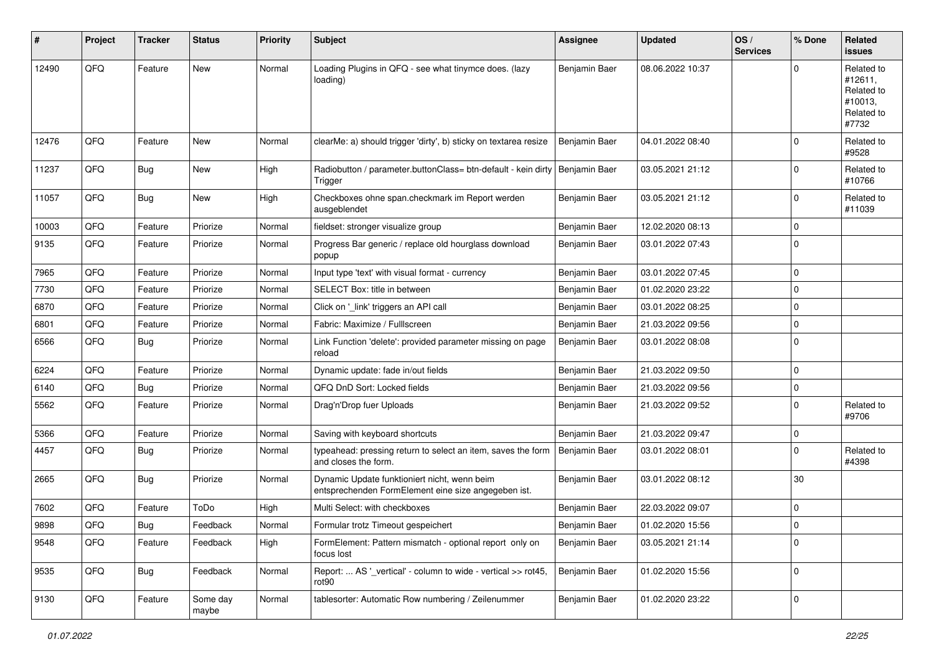| $\sharp$ | Project | <b>Tracker</b> | <b>Status</b>     | <b>Priority</b> | <b>Subject</b>                                                                                      | <b>Assignee</b> | <b>Updated</b>   | OS/<br><b>Services</b> | % Done      | Related<br>issues                                                     |
|----------|---------|----------------|-------------------|-----------------|-----------------------------------------------------------------------------------------------------|-----------------|------------------|------------------------|-------------|-----------------------------------------------------------------------|
| 12490    | QFQ     | Feature        | <b>New</b>        | Normal          | Loading Plugins in QFQ - see what tinymce does. (lazy<br>loading)                                   | Benjamin Baer   | 08.06.2022 10:37 |                        | $\Omega$    | Related to<br>#12611,<br>Related to<br>#10013,<br>Related to<br>#7732 |
| 12476    | QFQ     | Feature        | New               | Normal          | clearMe: a) should trigger 'dirty', b) sticky on textarea resize                                    | Benjamin Baer   | 04.01.2022 08:40 |                        | $\mathbf 0$ | Related to<br>#9528                                                   |
| 11237    | QFQ     | <b>Bug</b>     | New               | High            | Radiobutton / parameter.buttonClass= btn-default - kein dirty   Benjamin Baer<br>Trigger            |                 | 03.05.2021 21:12 |                        | $\mathbf 0$ | Related to<br>#10766                                                  |
| 11057    | QFQ     | <b>Bug</b>     | New               | High            | Checkboxes ohne span.checkmark im Report werden<br>ausgeblendet                                     | Benjamin Baer   | 03.05.2021 21:12 |                        | $\mathbf 0$ | Related to<br>#11039                                                  |
| 10003    | QFQ     | Feature        | Priorize          | Normal          | fieldset: stronger visualize group                                                                  | Benjamin Baer   | 12.02.2020 08:13 |                        | 0           |                                                                       |
| 9135     | QFQ     | Feature        | Priorize          | Normal          | Progress Bar generic / replace old hourglass download<br>popup                                      | Benjamin Baer   | 03.01.2022 07:43 |                        | $\Omega$    |                                                                       |
| 7965     | QFQ     | Feature        | Priorize          | Normal          | Input type 'text' with visual format - currency                                                     | Benjamin Baer   | 03.01.2022 07:45 |                        | $\mathbf 0$ |                                                                       |
| 7730     | QFQ     | Feature        | Priorize          | Normal          | SELECT Box: title in between                                                                        | Benjamin Baer   | 01.02.2020 23:22 |                        | $\mathbf 0$ |                                                                       |
| 6870     | QFQ     | Feature        | Priorize          | Normal          | Click on '_link' triggers an API call                                                               | Benjamin Baer   | 03.01.2022 08:25 |                        | $\mathbf 0$ |                                                                       |
| 6801     | QFQ     | Feature        | Priorize          | Normal          | Fabric: Maximize / FullIscreen                                                                      | Benjamin Baer   | 21.03.2022 09:56 |                        | $\mathbf 0$ |                                                                       |
| 6566     | QFQ     | <b>Bug</b>     | Priorize          | Normal          | Link Function 'delete': provided parameter missing on page<br>reload                                | Benjamin Baer   | 03.01.2022 08:08 |                        | $\Omega$    |                                                                       |
| 6224     | QFQ     | Feature        | Priorize          | Normal          | Dynamic update: fade in/out fields                                                                  | Benjamin Baer   | 21.03.2022 09:50 |                        | $\Omega$    |                                                                       |
| 6140     | QFQ     | Bug            | Priorize          | Normal          | QFQ DnD Sort: Locked fields                                                                         | Benjamin Baer   | 21.03.2022 09:56 |                        | $\mathbf 0$ |                                                                       |
| 5562     | QFQ     | Feature        | Priorize          | Normal          | Drag'n'Drop fuer Uploads                                                                            | Benjamin Baer   | 21.03.2022 09:52 |                        | $\Omega$    | Related to<br>#9706                                                   |
| 5366     | QFQ     | Feature        | Priorize          | Normal          | Saving with keyboard shortcuts                                                                      | Benjamin Baer   | 21.03.2022 09:47 |                        | 0           |                                                                       |
| 4457     | QFQ     | <b>Bug</b>     | Priorize          | Normal          | typeahead: pressing return to select an item, saves the form<br>and closes the form.                | Benjamin Baer   | 03.01.2022 08:01 |                        | $\mathbf 0$ | Related to<br>#4398                                                   |
| 2665     | QFQ     | <b>Bug</b>     | Priorize          | Normal          | Dynamic Update funktioniert nicht, wenn beim<br>entsprechenden FormElement eine size angegeben ist. | Benjamin Baer   | 03.01.2022 08:12 |                        | 30          |                                                                       |
| 7602     | QFQ     | Feature        | ToDo              | High            | Multi Select: with checkboxes                                                                       | Benjamin Baer   | 22.03.2022 09:07 |                        | $\mathbf 0$ |                                                                       |
| 9898     | QFQ     | Bug            | Feedback          | Normal          | Formular trotz Timeout gespeichert                                                                  | Benjamin Baer   | 01.02.2020 15:56 |                        | 0           |                                                                       |
| 9548     | QFQ     | Feature        | Feedback          | High            | FormElement: Pattern mismatch - optional report only on<br>focus lost                               | Benjamin Baer   | 03.05.2021 21:14 |                        | 0           |                                                                       |
| 9535     | QFQ     | <b>Bug</b>     | Feedback          | Normal          | Report:  AS '_vertical' - column to wide - vertical >> rot45,<br>rot90                              | Benjamin Baer   | 01.02.2020 15:56 |                        | $\mathbf 0$ |                                                                       |
| 9130     | QFQ     | Feature        | Some day<br>maybe | Normal          | tablesorter: Automatic Row numbering / Zeilenummer                                                  | Benjamin Baer   | 01.02.2020 23:22 |                        | 0           |                                                                       |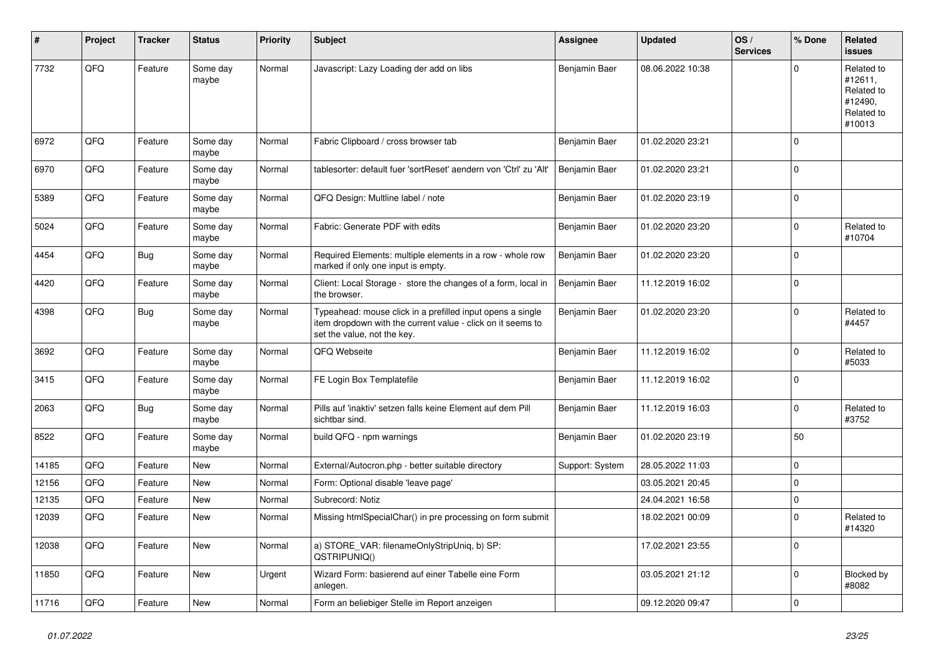| #     | Project | <b>Tracker</b> | <b>Status</b>     | <b>Priority</b> | <b>Subject</b>                                                                                                                                           | <b>Assignee</b> | <b>Updated</b>   | OS/<br><b>Services</b> | % Done      | Related<br>issues                                                      |
|-------|---------|----------------|-------------------|-----------------|----------------------------------------------------------------------------------------------------------------------------------------------------------|-----------------|------------------|------------------------|-------------|------------------------------------------------------------------------|
| 7732  | QFQ     | Feature        | Some day<br>maybe | Normal          | Javascript: Lazy Loading der add on libs                                                                                                                 | Benjamin Baer   | 08.06.2022 10:38 |                        | $\Omega$    | Related to<br>#12611,<br>Related to<br>#12490,<br>Related to<br>#10013 |
| 6972  | QFQ     | Feature        | Some day<br>maybe | Normal          | Fabric Clipboard / cross browser tab                                                                                                                     | Benjamin Baer   | 01.02.2020 23:21 |                        | $\mathbf 0$ |                                                                        |
| 6970  | QFQ     | Feature        | Some day<br>maybe | Normal          | tablesorter: default fuer 'sortReset' aendern von 'Ctrl' zu 'Alt'                                                                                        | Benjamin Baer   | 01.02.2020 23:21 |                        | $\Omega$    |                                                                        |
| 5389  | QFQ     | Feature        | Some day<br>maybe | Normal          | QFQ Design: Multline label / note                                                                                                                        | Benjamin Baer   | 01.02.2020 23:19 |                        | $\mathbf 0$ |                                                                        |
| 5024  | QFQ     | Feature        | Some day<br>maybe | Normal          | Fabric: Generate PDF with edits                                                                                                                          | Benjamin Baer   | 01.02.2020 23:20 |                        | $\mathbf 0$ | Related to<br>#10704                                                   |
| 4454  | QFQ     | Bug            | Some day<br>maybe | Normal          | Required Elements: multiple elements in a row - whole row<br>marked if only one input is empty.                                                          | Benjamin Baer   | 01.02.2020 23:20 |                        | $\mathbf 0$ |                                                                        |
| 4420  | QFQ     | Feature        | Some day<br>maybe | Normal          | Client: Local Storage - store the changes of a form, local in<br>the browser.                                                                            | Benjamin Baer   | 11.12.2019 16:02 |                        | $\mathbf 0$ |                                                                        |
| 4398  | QFQ     | <b>Bug</b>     | Some day<br>maybe | Normal          | Typeahead: mouse click in a prefilled input opens a single<br>item dropdown with the current value - click on it seems to<br>set the value, not the key. | Benjamin Baer   | 01.02.2020 23:20 |                        | $\mathbf 0$ | Related to<br>#4457                                                    |
| 3692  | QFQ     | Feature        | Some day<br>maybe | Normal          | QFQ Webseite                                                                                                                                             | Benjamin Baer   | 11.12.2019 16:02 |                        | $\mathbf 0$ | Related to<br>#5033                                                    |
| 3415  | QFQ     | Feature        | Some day<br>maybe | Normal          | FE Login Box Templatefile                                                                                                                                | Benjamin Baer   | 11.12.2019 16:02 |                        | $\mathbf 0$ |                                                                        |
| 2063  | QFQ     | <b>Bug</b>     | Some day<br>maybe | Normal          | Pills auf 'inaktiv' setzen falls keine Element auf dem Pill<br>sichtbar sind.                                                                            | Benjamin Baer   | 11.12.2019 16:03 |                        | $\mathbf 0$ | Related to<br>#3752                                                    |
| 8522  | QFQ     | Feature        | Some day<br>maybe | Normal          | build QFQ - npm warnings                                                                                                                                 | Benjamin Baer   | 01.02.2020 23:19 |                        | 50          |                                                                        |
| 14185 | QFQ     | Feature        | New               | Normal          | External/Autocron.php - better suitable directory                                                                                                        | Support: System | 28.05.2022 11:03 |                        | $\mathbf 0$ |                                                                        |
| 12156 | QFQ     | Feature        | New               | Normal          | Form: Optional disable 'leave page'                                                                                                                      |                 | 03.05.2021 20:45 |                        | $\mathbf 0$ |                                                                        |
| 12135 | QFQ     | Feature        | <b>New</b>        | Normal          | Subrecord: Notiz                                                                                                                                         |                 | 24.04.2021 16:58 |                        | 0           |                                                                        |
| 12039 | QFQ     | Feature        | New               | Normal          | Missing htmlSpecialChar() in pre processing on form submit                                                                                               |                 | 18.02.2021 00:09 |                        | $\mathbf 0$ | Related to<br>#14320                                                   |
| 12038 | QFQ     | Feature        | New               | Normal          | a) STORE_VAR: filenameOnlyStripUniq, b) SP:<br>QSTRIPUNIQ()                                                                                              |                 | 17.02.2021 23:55 |                        | $\mathbf 0$ |                                                                        |
| 11850 | QFQ     | Feature        | New               | Urgent          | Wizard Form: basierend auf einer Tabelle eine Form<br>anlegen.                                                                                           |                 | 03.05.2021 21:12 |                        | $\mathbf 0$ | <b>Blocked by</b><br>#8082                                             |
| 11716 | QFG     | Feature        | New               | Normal          | Form an beliebiger Stelle im Report anzeigen                                                                                                             |                 | 09.12.2020 09:47 |                        | $\pmb{0}$   |                                                                        |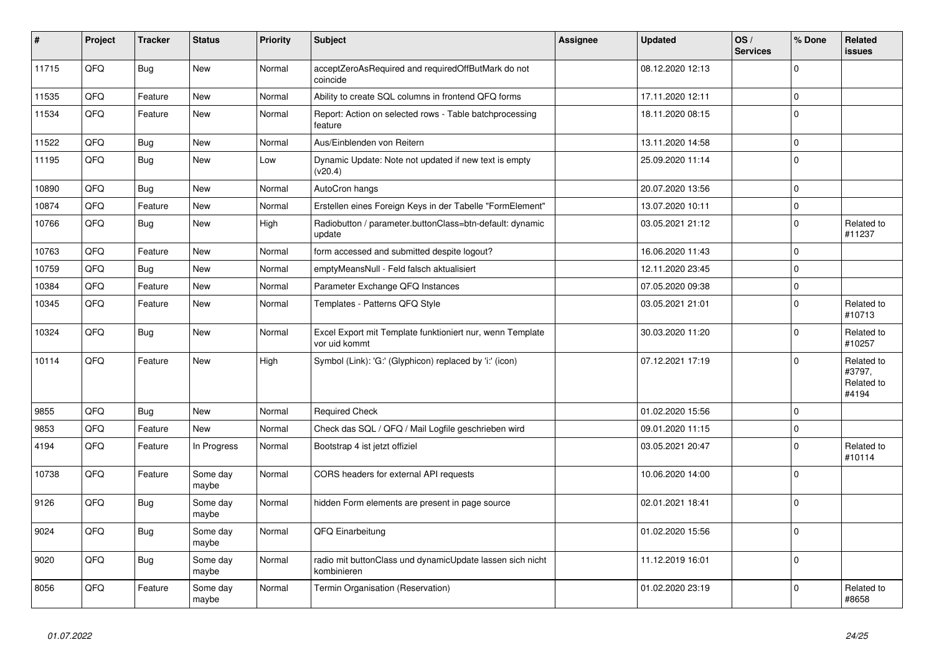| $\vert$ # | Project | <b>Tracker</b> | <b>Status</b>     | <b>Priority</b> | <b>Subject</b>                                                             | Assignee | <b>Updated</b>   | OS/<br><b>Services</b> | % Done      | <b>Related</b><br><b>issues</b>             |
|-----------|---------|----------------|-------------------|-----------------|----------------------------------------------------------------------------|----------|------------------|------------------------|-------------|---------------------------------------------|
| 11715     | QFQ     | <b>Bug</b>     | <b>New</b>        | Normal          | acceptZeroAsRequired and requiredOffButMark do not<br>coincide             |          | 08.12.2020 12:13 |                        | $\Omega$    |                                             |
| 11535     | QFQ     | Feature        | <b>New</b>        | Normal          | Ability to create SQL columns in frontend QFQ forms                        |          | 17.11.2020 12:11 |                        | $\mathbf 0$ |                                             |
| 11534     | QFQ     | Feature        | <b>New</b>        | Normal          | Report: Action on selected rows - Table batchprocessing<br>feature         |          | 18.11.2020 08:15 |                        | $\Omega$    |                                             |
| 11522     | QFQ     | Bug            | <b>New</b>        | Normal          | Aus/Einblenden von Reitern                                                 |          | 13.11.2020 14:58 |                        | $\mathbf 0$ |                                             |
| 11195     | QFQ     | <b>Bug</b>     | <b>New</b>        | Low             | Dynamic Update: Note not updated if new text is empty<br>(v20.4)           |          | 25.09.2020 11:14 |                        | $\mathbf 0$ |                                             |
| 10890     | QFQ     | Bug            | <b>New</b>        | Normal          | AutoCron hangs                                                             |          | 20.07.2020 13:56 |                        | $\mathbf 0$ |                                             |
| 10874     | QFQ     | Feature        | <b>New</b>        | Normal          | Erstellen eines Foreign Keys in der Tabelle "FormElement"                  |          | 13.07.2020 10:11 |                        | $\mathbf 0$ |                                             |
| 10766     | QFQ     | <b>Bug</b>     | New               | High            | Radiobutton / parameter.buttonClass=btn-default: dynamic<br>update         |          | 03.05.2021 21:12 |                        | $\Omega$    | Related to<br>#11237                        |
| 10763     | QFQ     | Feature        | <b>New</b>        | Normal          | form accessed and submitted despite logout?                                |          | 16.06.2020 11:43 |                        | $\mathbf 0$ |                                             |
| 10759     | QFQ     | Bug            | <b>New</b>        | Normal          | emptyMeansNull - Feld falsch aktualisiert                                  |          | 12.11.2020 23:45 |                        | $\mathbf 0$ |                                             |
| 10384     | QFQ     | Feature        | New               | Normal          | Parameter Exchange QFQ Instances                                           |          | 07.05.2020 09:38 |                        | $\mathbf 0$ |                                             |
| 10345     | QFQ     | Feature        | New               | Normal          | Templates - Patterns QFQ Style                                             |          | 03.05.2021 21:01 |                        | $\mathbf 0$ | Related to<br>#10713                        |
| 10324     | QFQ     | Bug            | New               | Normal          | Excel Export mit Template funktioniert nur, wenn Template<br>vor uid kommt |          | 30.03.2020 11:20 |                        | $\Omega$    | Related to<br>#10257                        |
| 10114     | QFQ     | Feature        | <b>New</b>        | High            | Symbol (Link): 'G:' (Glyphicon) replaced by 'i:' (icon)                    |          | 07.12.2021 17:19 |                        | $\Omega$    | Related to<br>#3797,<br>Related to<br>#4194 |
| 9855      | QFQ     | Bug            | <b>New</b>        | Normal          | <b>Required Check</b>                                                      |          | 01.02.2020 15:56 |                        | $\mathbf 0$ |                                             |
| 9853      | QFQ     | Feature        | New               | Normal          | Check das SQL / QFQ / Mail Logfile geschrieben wird                        |          | 09.01.2020 11:15 |                        | $\Omega$    |                                             |
| 4194      | QFQ     | Feature        | In Progress       | Normal          | Bootstrap 4 ist jetzt offiziel                                             |          | 03.05.2021 20:47 |                        | $\mathbf 0$ | Related to<br>#10114                        |
| 10738     | QFQ     | Feature        | Some day<br>maybe | Normal          | CORS headers for external API requests                                     |          | 10.06.2020 14:00 |                        | $\mathbf 0$ |                                             |
| 9126      | QFQ     | Bug            | Some day<br>maybe | Normal          | hidden Form elements are present in page source                            |          | 02.01.2021 18:41 |                        | $\mathbf 0$ |                                             |
| 9024      | QFQ     | <b>Bug</b>     | Some day<br>maybe | Normal          | QFQ Einarbeitung                                                           |          | 01.02.2020 15:56 |                        | $\Omega$    |                                             |
| 9020      | QFQ     | Bug            | Some day<br>maybe | Normal          | radio mit buttonClass und dynamicUpdate lassen sich nicht<br>kombinieren   |          | 11.12.2019 16:01 |                        | $\mathbf 0$ |                                             |
| 8056      | QFQ     | Feature        | Some day<br>maybe | Normal          | Termin Organisation (Reservation)                                          |          | 01.02.2020 23:19 |                        | $\Omega$    | Related to<br>#8658                         |